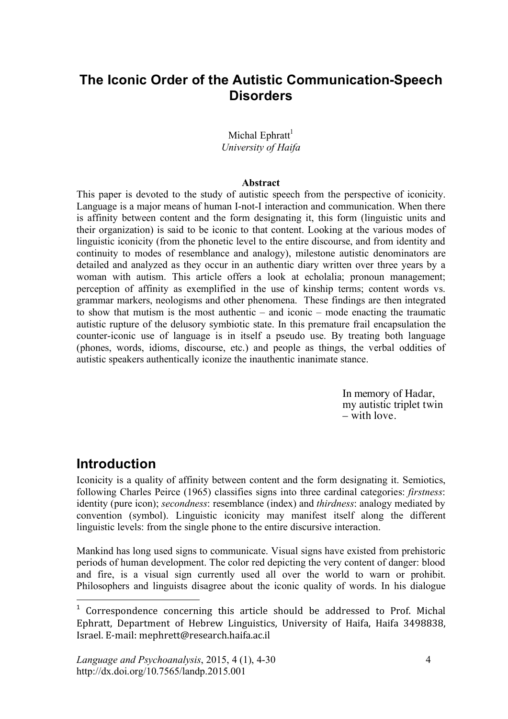## **The Iconic Order of the Autistic Communication-Speech Disorders**

#### Michal Ephratt<sup>1</sup> *University of Haifa*

#### **Abstract**

This paper is devoted to the study of autistic speech from the perspective of iconicity. Language is a major means of human I-not-I interaction and communication. When there is affinity between content and the form designating it, this form (linguistic units and their organization) is said to be iconic to that content. Looking at the various modes of linguistic iconicity (from the phonetic level to the entire discourse, and from identity and continuity to modes of resemblance and analogy), milestone autistic denominators are detailed and analyzed as they occur in an authentic diary written over three years by a woman with autism. This article offers a look at echolalia; pronoun management; perception of affinity as exemplified in the use of kinship terms; content words vs. grammar markers, neologisms and other phenomena. These findings are then integrated to show that mutism is the most authentic – and iconic – mode enacting the traumatic autistic rupture of the delusory symbiotic state. In this premature frail encapsulation the counter-iconic use of language is in itself a pseudo use. By treating both language (phones, words, idioms, discourse, etc.) and people as things, the verbal oddities of autistic speakers authentically iconize the inauthentic inanimate stance.

> In memory of Hadar, my autistic triplet twin – with love.

## **Introduction**

 $\overline{a}$ 

Iconicity is a quality of affinity between content and the form designating it. Semiotics, following Charles Peirce (1965) classifies signs into three cardinal categories: *firstness*: identity (pure icon); *secondness*: resemblance (index) and *thirdness*: analogy mediated by convention (symbol). Linguistic iconicity may manifest itself along the different linguistic levels: from the single phone to the entire discursive interaction.

Mankind has long used signs to communicate. Visual signs have existed from prehistoric periods of human development. The color red depicting the very content of danger: blood and fire, is a visual sign currently used all over the world to warn or prohibit. Philosophers and linguists disagree about the iconic quality of words. In his dialogue

<sup>&</sup>lt;sup>1</sup> Correspondence concerning this article should be addressed to Prof. Michal Ephratt. Department of Hebrew Linguistics, University of Haifa, Haifa 3498838, Israel.
E‐mail:
mephrett@research.haifa.ac.il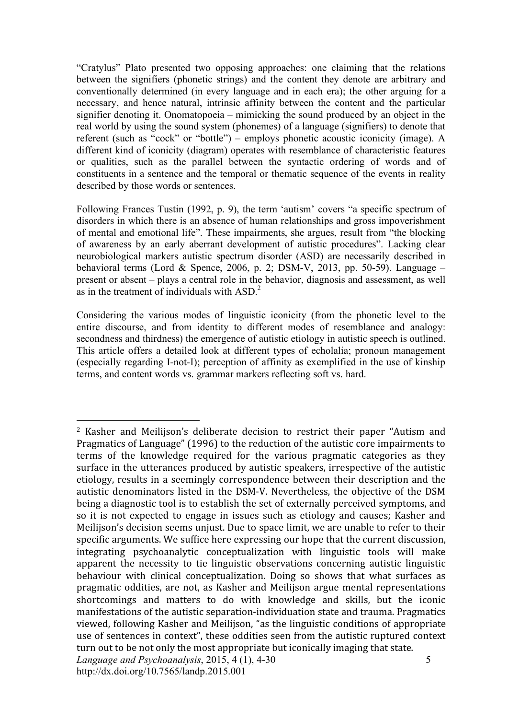"Cratylus" Plato presented two opposing approaches: one claiming that the relations between the signifiers (phonetic strings) and the content they denote are arbitrary and conventionally determined (in every language and in each era); the other arguing for a necessary, and hence natural, intrinsic affinity between the content and the particular signifier denoting it. Onomatopoeia – mimicking the sound produced by an object in the real world by using the sound system (phonemes) of a language (signifiers) to denote that referent (such as "cock" or "bottle") – employs phonetic acoustic iconicity (image). A different kind of iconicity (diagram) operates with resemblance of characteristic features or qualities, such as the parallel between the syntactic ordering of words and of constituents in a sentence and the temporal or thematic sequence of the events in reality described by those words or sentences.

Following Frances Tustin (1992, p. 9), the term 'autism' covers "a specific spectrum of disorders in which there is an absence of human relationships and gross impoverishment of mental and emotional life". These impairments, she argues, result from "the blocking of awareness by an early aberrant development of autistic procedures". Lacking clear neurobiological markers autistic spectrum disorder (ASD) are necessarily described in behavioral terms (Lord & Spence, 2006, p. 2; DSM-V, 2013, pp. 50-59). Language – present or absent – plays a central role in the behavior, diagnosis and assessment, as well as in the treatment of individuals with  $ASD<sup>2</sup>$ .

Considering the various modes of linguistic iconicity (from the phonetic level to the entire discourse, and from identity to different modes of resemblance and analogy: secondness and thirdness) the emergence of autistic etiology in autistic speech is outlined. This article offers a detailed look at different types of echolalia; pronoun management (especially regarding I-not-I); perception of affinity as exemplified in the use of kinship terms, and content words vs. grammar markers reflecting soft vs. hard.

*Language and Psychoanalysis*, 2015, 4 (1), 4-30 http://dx.doi.org/10.7565/landp.2015.001 5  $\overline{a}$ <sup>2</sup> Kasher and Meilijson's deliberate decision to restrict their paper "Autism and Pragmatics of Language" (1996) to the reduction of the autistic core impairments to terms of the knowledge required for the various pragmatic categories as they surface in the utterances produced by autistic speakers, irrespective of the autistic etiology,
results
in
a
 seemingly
 correspondence
 between
 their
 description
and
 the autistic denominators listed in the DSM-V. Nevertheless, the objective of the DSM being a diagnostic tool is to establish the set of externally perceived symptoms, and so it is not expected to engage in issues such as etiology and causes; Kasher and Meilijson's decision seems unjust. Due to space limit, we are unable to refer to their specific
arguments.
We
suffice
here
expressing
our
hope
that
the
current
discussion, integrating
 psychoanalytic
 conceptualization
 with
 linguistic
 tools
 will
 make apparent the necessity to tie linguistic observations concerning autistic linguistic behaviour with clinical conceptualization. Doing so shows that what surfaces as pragmatic
 oddities,
are
 not,
as
Kasher
and
Meilijson
argue
mental
representations shortcomings and matters to do with knowledge and skills, but the iconic manifestations of the autistic separation-individuation state and trauma. Pragmatics viewed,
 following
Kasher
and
Meilijson,
"as
the
linguistic
conditions
of
appropriate use of sentences in context", these oddities seen from the autistic ruptured context turn out to be not only the most appropriate but iconically imaging that state.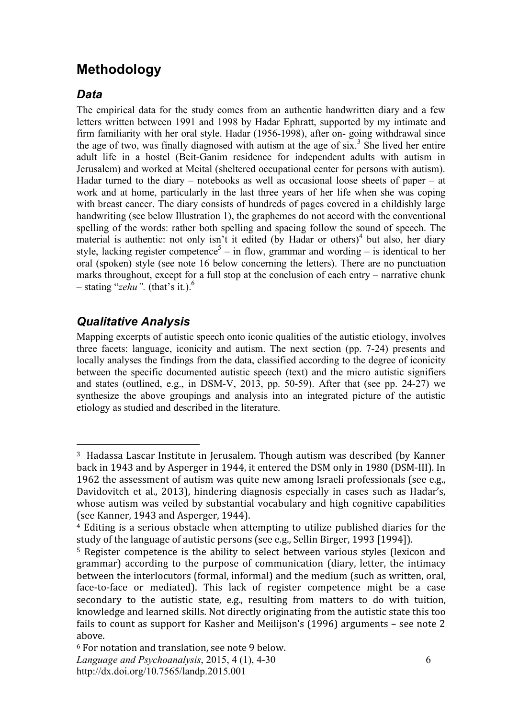# **Methodology**

### *Data*

The empirical data for the study comes from an authentic handwritten diary and a few letters written between 1991 and 1998 by Hadar Ephratt, supported by my intimate and firm familiarity with her oral style. Hadar (1956-1998), after on- going withdrawal since the age of two, was finally diagnosed with autism at the age of  $six$ <sup>3</sup>. She lived her entire adult life in a hostel (Beit-Ganim residence for independent adults with autism in Jerusalem) and worked at Meital (sheltered occupational center for persons with autism). Hadar turned to the diary – notebooks as well as occasional loose sheets of paper – at work and at home, particularly in the last three years of her life when she was coping with breast cancer. The diary consists of hundreds of pages covered in a childishly large handwriting (see below Illustration 1), the graphemes do not accord with the conventional spelling of the words: rather both spelling and spacing follow the sound of speech. The material is authentic: not only isn't it edited (by Hadar or others)<sup>4</sup> but also, her diary style, lacking register competence<sup>5</sup> – in flow, grammar and wording – is identical to her oral (spoken) style (see note 16 below concerning the letters). There are no punctuation marks throughout, except for a full stop at the conclusion of each entry – narrative chunk  $-$  stating "*zehu*". (that's it.).<sup>6</sup>

## *Qualitative Analysis*

 $\overline{a}$ 

Mapping excerpts of autistic speech onto iconic qualities of the autistic etiology, involves three facets: language, iconicity and autism. The next section (pp. 7-24) presents and locally analyses the findings from the data, classified according to the degree of iconicity between the specific documented autistic speech (text) and the micro autistic signifiers and states (outlined, e.g., in DSM-V, 2013, pp. 50-59). After that (see pp. 24-27) we synthesize the above groupings and analysis into an integrated picture of the autistic etiology as studied and described in the literature.

<sup>&</sup>lt;sup>3</sup> Hadassa Lascar Institute in Jerusalem. Though autism was described (by Kanner) back
in
1943
and
by
Asperger
in
1944,
it
entered
the
DSM
only
in
1980
(DSM‐III).
In 1962
the
assessment
of
autism
was
quite
new
among
Israeli
professionals
(see
e.g., Davidovitch et al., 2013), hindering diagnosis especially in cases such as Hadar's, whose autism was veiled by substantial vocabulary and high cognitive capabilities (see
Kanner,
1943
and
Asperger,
1944).

<sup>&</sup>lt;sup>4</sup> Editing is a serious obstacle when attempting to utilize published diaries for the study of the language of autistic persons (see e.g., Sellin Birger, 1993 [1994]).

<sup>&</sup>lt;sup>5</sup> Register competence is the ability to select between various styles (lexicon and grammar) according to the purpose of communication (diary, letter, the intimacy between
the
interlocutors
(formal,
informal)
and
the
medium
(such
as
written,
oral, face-to-face or mediated). This lack of register competence might be a case secondary to the autistic state, e.g., resulting from matters to do with tuition, knowledge
and
learned
skills.
Not
directly
originating
from
the
autistic
state
this
too fails to count as support for Kasher and Meilijson's (1996) arguments - see note 2 above.

*Language and Psychoanalysis*, 2015, 4 (1), 4-30 <sup>6</sup> For
notation
and
translation,
see
note
9
below.

http://dx.doi.org/10.7565/landp.2015.001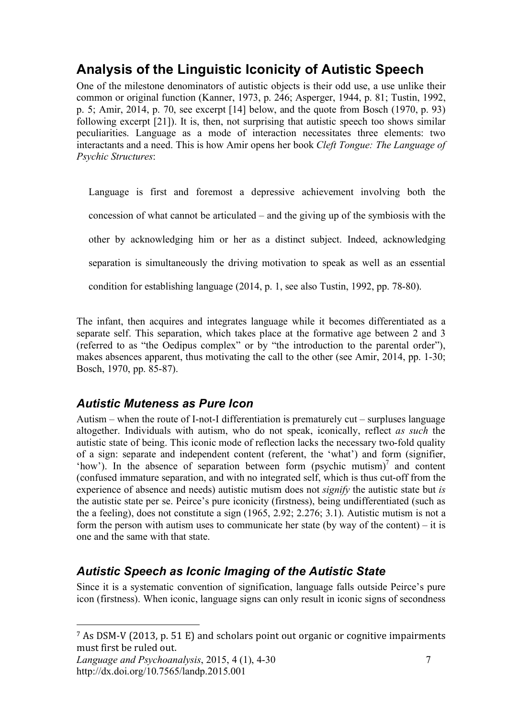# **Analysis of the Linguistic Iconicity of Autistic Speech**

One of the milestone denominators of autistic objects is their odd use, a use unlike their common or original function (Kanner, 1973, p. 246; Asperger, 1944, p. 81; Tustin, 1992, p. 5; Amir, 2014, p. 70, see excerpt [14] below, and the quote from Bosch (1970, p. 93) following excerpt [21]). It is, then, not surprising that autistic speech too shows similar peculiarities. Language as a mode of interaction necessitates three elements: two interactants and a need. This is how Amir opens her book *Cleft Tongue: The Language of Psychic Structures*:

Language is first and foremost a depressive achievement involving both the concession of what cannot be articulated – and the giving up of the symbiosis with the other by acknowledging him or her as a distinct subject. Indeed, acknowledging separation is simultaneously the driving motivation to speak as well as an essential condition for establishing language (2014, p. 1, see also Tustin, 1992, pp. 78-80).

The infant, then acquires and integrates language while it becomes differentiated as a separate self. This separation, which takes place at the formative age between 2 and 3 (referred to as "the Oedipus complex" or by "the introduction to the parental order"), makes absences apparent, thus motivating the call to the other (see Amir, 2014, pp. 1-30; Bosch, 1970, pp. 85-87).

## *Autistic Muteness as Pure Icon*

Autism – when the route of I-not-I differentiation is prematurely cut – surpluses language altogether. Individuals with autism, who do not speak, iconically, reflect *as such* the autistic state of being. This iconic mode of reflection lacks the necessary two-fold quality of a sign: separate and independent content (referent, the 'what') and form (signifier, 'how'). In the absence of separation between form  $(psychic$  mutism)<sup>7</sup> and content (confused immature separation, and with no integrated self, which is thus cut-off from the experience of absence and needs) autistic mutism does not *signify* the autistic state but *is* the autistic state per se. Peirce's pure iconicity (firstness), being undifferentiated (such as the a feeling), does not constitute a sign (1965, 2.92; 2.276; 3.1). Autistic mutism is not a form the person with autism uses to communicate her state (by way of the content) – it is one and the same with that state.

## *Autistic Speech as Iconic Imaging of the Autistic State*

Since it is a systematic convention of signification, language falls outside Peirce's pure icon (firstness). When iconic, language signs can only result in iconic signs of secondness

*Language and Psychoanalysis*, 2015, 4 (1), 4-30 http://dx.doi.org/10.7565/landp.2015.001

<sup>&</sup>lt;sup>7</sup> As DSM-V (2013, p. 51 E) and scholars point out organic or cognitive impairments must
first
be
ruled
out.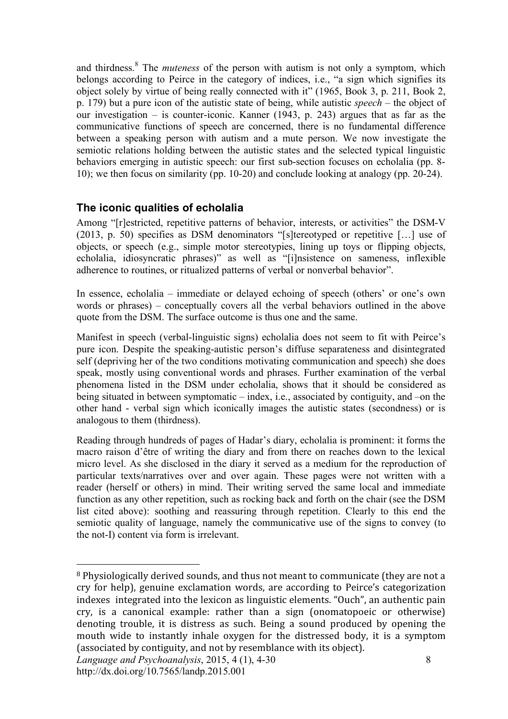and thirdness.<sup>8</sup> The *muteness* of the person with autism is not only a symptom, which belongs according to Peirce in the category of indices, i.e., "a sign which signifies its object solely by virtue of being really connected with it" (1965, Book 3, p. 211, Book 2, p. 179) but a pure icon of the autistic state of being, while autistic *speech* – the object of our investigation – is counter-iconic. Kanner (1943, p. 243) argues that as far as the communicative functions of speech are concerned, there is no fundamental difference between a speaking person with autism and a mute person. We now investigate the semiotic relations holding between the autistic states and the selected typical linguistic behaviors emerging in autistic speech: our first sub-section focuses on echolalia (pp. 8- 10); we then focus on similarity (pp. 10-20) and conclude looking at analogy (pp. 20-24).

### **The iconic qualities of echolalia**

Among "[r]estricted, repetitive patterns of behavior, interests, or activities" the DSM-V (2013, p. 50) specifies as DSM denominators "[s]tereotyped or repetitive […] use of objects, or speech (e.g., simple motor stereotypies, lining up toys or flipping objects, echolalia, idiosyncratic phrases)" as well as "[i]nsistence on sameness, inflexible adherence to routines, or ritualized patterns of verbal or nonverbal behavior".

In essence, echolalia – immediate or delayed echoing of speech (others' or one's own words or phrases) – conceptually covers all the verbal behaviors outlined in the above quote from the DSM. The surface outcome is thus one and the same.

Manifest in speech (verbal-linguistic signs) echolalia does not seem to fit with Peirce's pure icon. Despite the speaking-autistic person's diffuse separateness and disintegrated self (depriving her of the two conditions motivating communication and speech) she does speak, mostly using conventional words and phrases. Further examination of the verbal phenomena listed in the DSM under echolalia, shows that it should be considered as being situated in between symptomatic – index, i.e., associated by contiguity, and –on the other hand - verbal sign which iconically images the autistic states (secondness) or is analogous to them (thirdness).

Reading through hundreds of pages of Hadar's diary, echolalia is prominent: it forms the macro raison d'être of writing the diary and from there on reaches down to the lexical micro level. As she disclosed in the diary it served as a medium for the reproduction of particular texts/narratives over and over again. These pages were not written with a reader (herself or others) in mind. Their writing served the same local and immediate function as any other repetition, such as rocking back and forth on the chair (see the DSM list cited above): soothing and reassuring through repetition. Clearly to this end the semiotic quality of language, namely the communicative use of the signs to convey (to the not-I) content via form is irrelevant.

<sup>&</sup>lt;sup>8</sup> Physiologically derived sounds, and thus not meant to communicate (they are not a cry
 for
 help),
 genuine
 exclamation
 words,
 are
according
 to
 Peirce's
 categorization indexes integrated into the lexicon as linguistic elements. "Ouch", an authentic pain cry,
 is
 a
 canonical
 example:
 rather
 than
 a
 sign (onomatopoeic
 or
 otherwise) denoting trouble, it is distress as such. Being a sound produced by opening the mouth wide to instantly inhale oxygen for the distressed body, it is a symptom (associated
by
contiguity,
and
not
by
resemblance
with
its
object).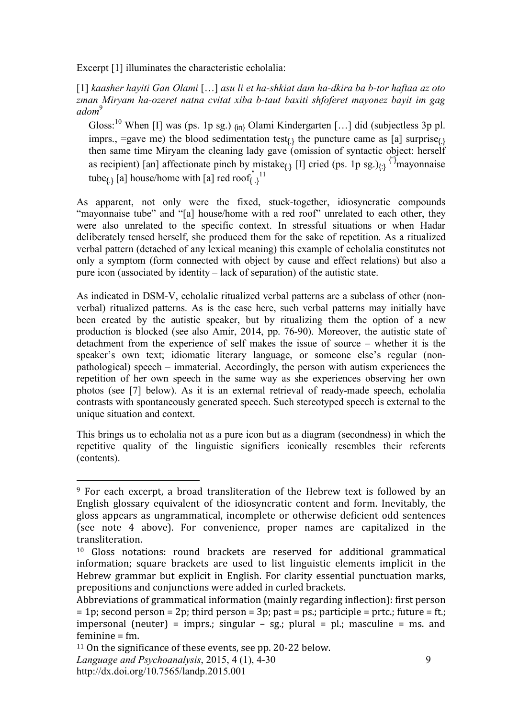Excerpt [1] illuminates the characteristic echolalia:

[1] *kaasher hayiti Gan Olami* […] *asu li et ha-shkiat dam ha-dkira ba b-tor haftaa az oto zman Miryam ha-ozeret natna cvitat xiba b-taut baxiti shfoferet mayonez bayit im gag adom*<sup>9</sup>

Gloss:<sup>10</sup> When [I] was (ps. 1p sg.)  $_{\{\text{in}\}}$  Olami Kindergarten [...] did (subjectless 3p pl. imprs., =gave me) the blood sedimentation test $_{(1)}$  the puncture came as [a] surprise $_{(2)}$ then same time Miryam the cleaning lady gave (omission of syntactic object: herself as recipient) [an] affectionate pinch by mistake<sub>{{1}</sub> [I] cried (ps. 1p sg.)<sub>{{1}</sub><sup>{"}</sup>mayonnaise tube<sub>{\dota}</sub> [a] house/home with [a] red roof<sub>{1}</sub> .} 11

As apparent, not only were the fixed, stuck-together, idiosyncratic compounds "mayonnaise tube" and "[a] house/home with a red roof" unrelated to each other, they were also unrelated to the specific context. In stressful situations or when Hadar deliberately tensed herself, she produced them for the sake of repetition. As a ritualized verbal pattern (detached of any lexical meaning) this example of echolalia constitutes not only a symptom (form connected with object by cause and effect relations) but also a pure icon (associated by identity – lack of separation) of the autistic state.

As indicated in DSM-V, echolalic ritualized verbal patterns are a subclass of other (nonverbal) ritualized patterns. As is the case here, such verbal patterns may initially have been created by the autistic speaker, but by ritualizing them the option of a new production is blocked (see also Amir, 2014, pp. 76-90). Moreover, the autistic state of detachment from the experience of self makes the issue of source – whether it is the speaker's own text; idiomatic literary language, or someone else's regular (nonpathological) speech – immaterial. Accordingly, the person with autism experiences the repetition of her own speech in the same way as she experiences observing her own photos (see [7] below). As it is an external retrieval of ready-made speech, echolalia contrasts with spontaneously generated speech. Such stereotyped speech is external to the unique situation and context.

This brings us to echolalia not as a pure icon but as a diagram (secondness) in which the repetitive quality of the linguistic signifiers iconically resembles their referents (contents).

<sup>&</sup>lt;sup>9</sup> For each excerpt, a broad transliteration of the Hebrew text is followed by an English glossary equivalent of the idiosyncratic content and form. Inevitably, the gloss
 appears
 as
 ungrammatical,
 incomplete
 or
 otherwise
 deficient
 odd
 sentences (see
 note
 4 above).
 For
 convenience,
 proper
 names
 are
 capitalized
 in
 the transliteration.

<sup>&</sup>lt;sup>10</sup> Gloss notations: round brackets are reserved for additional grammatical information; square brackets are used to list linguistic elements implicit in the Hebrew grammar but explicit in English. For clarity essential punctuation marks, prepositions
and
conjunctions
were
added
in
curled
brackets.

Abbreviations
of
grammatical
information
(mainly
regarding
inflection):
first
person  $= 1$ p; second person  $= 2$ p; third person  $= 3$ p; past  $=$  ps.; participle  $=$  prtc.; future  $=$  ft.; impersonal (neuter) = imprs.; singular – sg.; plural = pl.; masculine = ms. and feminine = fm.

<sup>&</sup>lt;sup>11</sup> On the significance of these events, see pp. 20-22 below.

*Language and Psychoanalysis*, 2015, 4 (1), 4-30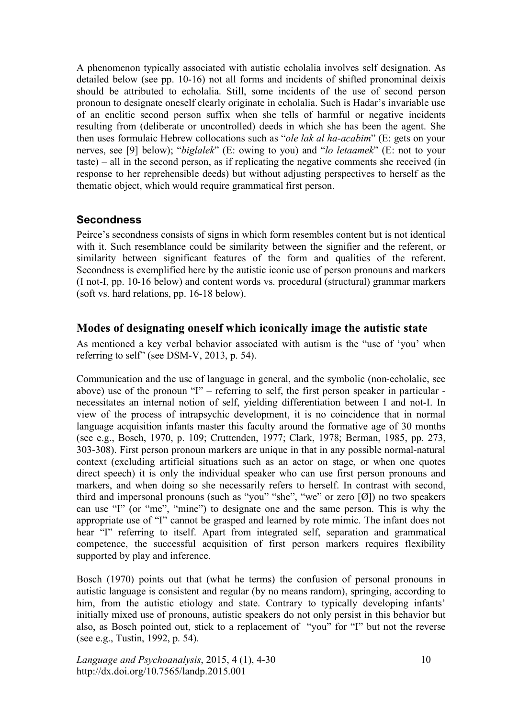A phenomenon typically associated with autistic echolalia involves self designation. As detailed below (see pp. 10-16) not all forms and incidents of shifted pronominal deixis should be attributed to echolalia. Still, some incidents of the use of second person pronoun to designate oneself clearly originate in echolalia. Such is Hadar's invariable use of an enclitic second person suffix when she tells of harmful or negative incidents resulting from (deliberate or uncontrolled) deeds in which she has been the agent. She then uses formulaic Hebrew collocations such as "*ole lak al ha-acabim*" (E: gets on your nerves, see [9] below); "*biglalek*" (E: owing to you) and "*lo letaamek*" (E: not to your taste) – all in the second person, as if replicating the negative comments she received (in response to her reprehensible deeds) but without adjusting perspectives to herself as the thematic object, which would require grammatical first person.

#### **Secondness**

Peirce's secondness consists of signs in which form resembles content but is not identical with it. Such resemblance could be similarity between the signifier and the referent, or similarity between significant features of the form and qualities of the referent. Secondness is exemplified here by the autistic iconic use of person pronouns and markers (I not-I, pp. 10-16 below) and content words vs. procedural (structural) grammar markers (soft vs. hard relations, pp. 16-18 below).

#### **Modes of designating oneself which iconically image the autistic state**

As mentioned a key verbal behavior associated with autism is the "use of 'you' when referring to self" (see DSM-V, 2013, p. 54).

Communication and the use of language in general, and the symbolic (non-echolalic, see above) use of the pronoun "I" – referring to self, the first person speaker in particular necessitates an internal notion of self, yielding differentiation between I and not-I. In view of the process of intrapsychic development, it is no coincidence that in normal language acquisition infants master this faculty around the formative age of 30 months (see e.g., Bosch, 1970, p. 109; Cruttenden, 1977; Clark, 1978; Berman, 1985, pp. 273, 303-308). First person pronoun markers are unique in that in any possible normal-natural context (excluding artificial situations such as an actor on stage, or when one quotes direct speech) it is only the individual speaker who can use first person pronouns and markers, and when doing so she necessarily refers to herself. In contrast with second, third and impersonal pronouns (such as "you" "she", "we" or zero  $[0]$ ) no two speakers can use "I" (or "me", "mine") to designate one and the same person. This is why the appropriate use of "I" cannot be grasped and learned by rote mimic. The infant does not hear "I" referring to itself. Apart from integrated self, separation and grammatical competence, the successful acquisition of first person markers requires flexibility supported by play and inference.

Bosch (1970) points out that (what he terms) the confusion of personal pronouns in autistic language is consistent and regular (by no means random), springing, according to him, from the autistic etiology and state. Contrary to typically developing infants' initially mixed use of pronouns, autistic speakers do not only persist in this behavior but also, as Bosch pointed out, stick to a replacement of "you" for "I" but not the reverse (see e.g., Tustin, 1992, p. 54).

*Language and Psychoanalysis*, 2015, 4 (1), 4-30 http://dx.doi.org/10.7565/landp.2015.001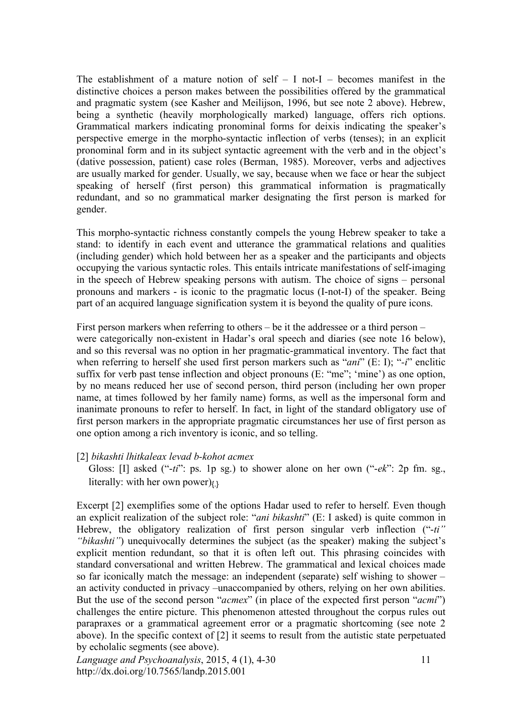The establishment of a mature notion of self  $-$  I not-I  $-$  becomes manifest in the distinctive choices a person makes between the possibilities offered by the grammatical and pragmatic system (see Kasher and Meilijson, 1996, but see note 2 above). Hebrew, being a synthetic (heavily morphologically marked) language, offers rich options. Grammatical markers indicating pronominal forms for deixis indicating the speaker's perspective emerge in the morpho-syntactic inflection of verbs (tenses); in an explicit pronominal form and in its subject syntactic agreement with the verb and in the object's (dative possession, patient) case roles (Berman, 1985). Moreover, verbs and adjectives are usually marked for gender. Usually, we say, because when we face or hear the subject speaking of herself (first person) this grammatical information is pragmatically redundant, and so no grammatical marker designating the first person is marked for gender.

This morpho-syntactic richness constantly compels the young Hebrew speaker to take a stand: to identify in each event and utterance the grammatical relations and qualities (including gender) which hold between her as a speaker and the participants and objects occupying the various syntactic roles. This entails intricate manifestations of self-imaging in the speech of Hebrew speaking persons with autism. The choice of signs – personal pronouns and markers - is iconic to the pragmatic locus (I-not-I) of the speaker. Being part of an acquired language signification system it is beyond the quality of pure icons.

First person markers when referring to others – be it the addressee or a third person – were categorically non-existent in Hadar's oral speech and diaries (see note 16 below), and so this reversal was no option in her pragmatic-grammatical inventory. The fact that when referring to herself she used first person markers such as "*ani*" (E: I); "*-i*" enclitic suffix for verb past tense inflection and object pronouns (E: "me"; 'mine') as one option, by no means reduced her use of second person, third person (including her own proper name, at times followed by her family name) forms, as well as the impersonal form and inanimate pronouns to refer to herself. In fact, in light of the standard obligatory use of first person markers in the appropriate pragmatic circumstances her use of first person as one option among a rich inventory is iconic, and so telling.

#### [2] *bikashti lhitkaleax levad b-kohot acmex*

Gloss: [I] asked ("-*ti*": ps. 1p sg.) to shower alone on her own ("-*ek*": 2p fm. sg., literally: with her own power) $\ell$ 

Excerpt [2] exemplifies some of the options Hadar used to refer to herself. Even though an explicit realization of the subject role: "*ani bikashti*" (E: I asked) is quite common in Hebrew, the obligatory realization of first person singular verb inflection ("-*ti" "bikashti"*) unequivocally determines the subject (as the speaker) making the subject's explicit mention redundant, so that it is often left out. This phrasing coincides with standard conversational and written Hebrew. The grammatical and lexical choices made so far iconically match the message: an independent (separate) self wishing to shower – an activity conducted in privacy –unaccompanied by others, relying on her own abilities. But the use of the second person "*acmex*" (in place of the expected first person "*acmi*") challenges the entire picture. This phenomenon attested throughout the corpus rules out parapraxes or a grammatical agreement error or a pragmatic shortcoming (see note 2 above). In the specific context of [2] it seems to result from the autistic state perpetuated by echolalic segments (see above).

*Language and Psychoanalysis*, 2015, 4 (1), 4-30 http://dx.doi.org/10.7565/landp.2015.001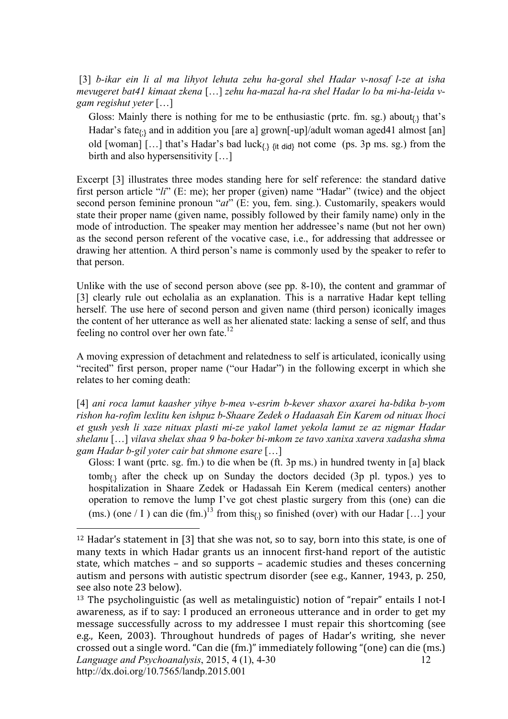[3] *b-ikar ein li al ma lihyot lehuta zehu ha-goral shel Hadar v-nosaf l-ze at isha mevugeret bat41 kimaat zkena* […] *zehu ha-mazal ha-ra shel Hadar lo ba mi-ha-leida vgam regishut yeter* […]

Gloss: Mainly there is nothing for me to be enthusiastic (prtc. fm. sg.) about $\mu$  that's Hadar's fate<sub> $(3)$ </sub> and in addition you [are a] grown[-up]/adult woman aged41 almost [an] old [woman]  $[...]$  that's Hadar's bad luck $\chi$   $\chi$ <sub>it did</sub> not come (ps. 3p ms. sg.) from the birth and also hypersensitivity [...]

Excerpt [3] illustrates three modes standing here for self reference: the standard dative first person article "*li*" (E: me); her proper (given) name "Hadar" (twice) and the object second person feminine pronoun "*at*" (E: you, fem. sing.). Customarily, speakers would state their proper name (given name, possibly followed by their family name) only in the mode of introduction. The speaker may mention her addressee's name (but not her own) as the second person referent of the vocative case, i.e., for addressing that addressee or drawing her attention. A third person's name is commonly used by the speaker to refer to that person.

Unlike with the use of second person above (see pp. 8-10), the content and grammar of [3] clearly rule out echolalia as an explanation. This is a narrative Hadar kept telling herself. The use here of second person and given name (third person) iconically images the content of her utterance as well as her alienated state: lacking a sense of self, and thus feeling no control over her own fate.<sup>12</sup>

A moving expression of detachment and relatedness to self is articulated, iconically using "recited" first person, proper name ("our Hadar") in the following excerpt in which she relates to her coming death:

[4] *ani roca lamut kaasher yihye b-mea v-esrim b-kever shaxor axarei ha-bdika b-yom rishon ha-rofim lexlitu ken ishpuz b-Shaare Zedek o Hadaasah Ein Karem od nituax lhoci et gush yesh li xaze nituax plasti mi-ze yakol lamet yekola lamut ze az nigmar Hadar shelanu* […] *vilava shelax shaa 9 ba-boker bi-mkom ze tavo xanixa xavera xadasha shma gam Hadar b-gil yoter cair bat shmone esare* […]

Gloss: I want (prtc. sg. fm.) to die when be (ft. 3p ms.) in hundred twenty in [a] black  $tomb_{\{1\}}$  after the check up on Sunday the doctors decided (3p pl. typos.) yes to hospitalization in Shaare Zedek or Hadassah Ein Kerem (medical centers) another operation to remove the lump I've got chest plastic surgery from this (one) can die (ms.) (one / I ) can die (fm.)<sup>13</sup> from this<sub>{1}</sub> so finished (over) with our Hadar [...] your

<sup>&</sup>lt;sup>12</sup> Hadar's statement in [3] that she was not, so to say, born into this state, is one of many texts in which Hadar grants us an innocent first-hand report of the autistic state,
which
matches
–
and
 so
 supports
–
academic
 studies
and
 theses
 concerning autism and persons with autistic spectrum disorder (see e.g., Kanner, 1943, p. 250, see
also
note
23
below).

*Language and Psychoanalysis*, 2015, 4 (1), 4-30 http://dx.doi.org/10.7565/landp.2015.001 12 <sup>13</sup> The psycholinguistic (as well as metalinguistic) notion of "repair" entails I not-I awareness, as if to say: I produced an erroneous utterance and in order to get my message successfully across to my addressee I must repair this shortcoming (see e.g.,
 Keen,
 2003).
 Throughout
 hundreds
 of
 pages
 of
 Hadar's
 writing,
 she
 never crossed
out
a
single
word.
"Can
die
(fm.)"
immediately
following
"(one)
can
die
(ms.)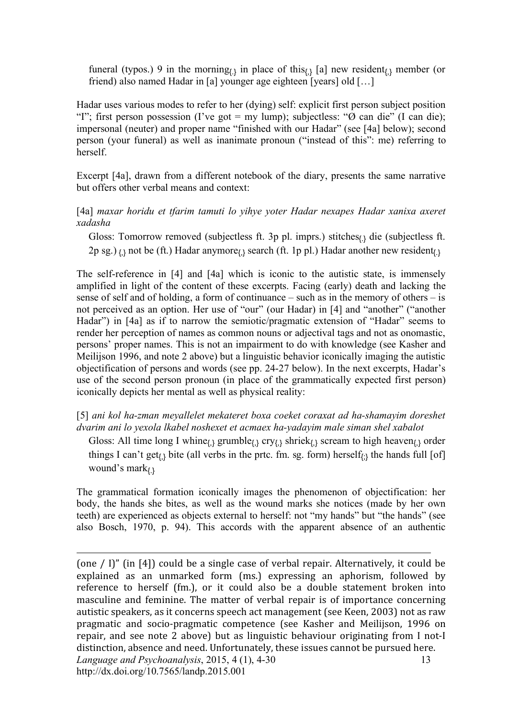funeral (typos.) 9 in the morning<sub>(3</sub> in place of this<sub>(3</sub> [a] new resident<sub>(3</sub> member (or friend) also named Hadar in [a] younger age eighteen [years] old […]

Hadar uses various modes to refer to her (dying) self: explicit first person subject position "I"; first person possession (I've got = my lump); subjectless: " $\varnothing$  can die" (I can die); impersonal (neuter) and proper name "finished with our Hadar" (see [4a] below); second person (your funeral) as well as inanimate pronoun ("instead of this": me) referring to herself.

Excerpt [4a], drawn from a different notebook of the diary, presents the same narrative but offers other verbal means and context:

[4a] *maxar horidu et tfarim tamuti lo yihye yoter Hadar nexapes Hadar xanixa axeret xadasha* 

Gloss: Tomorrow removed (subjectless ft. 3p pl. imprs.) stitches $_{1}$ , die (subjectless ft. 2p sg.)  $_{\{\}\}$  not be (ft.) Hadar anymore $_{\{\}\}$  search (ft. 1p pl.) Hadar another new resident $_{\{\}\}$ 

The self-reference in [4] and [4a] which is iconic to the autistic state, is immensely amplified in light of the content of these excerpts. Facing (early) death and lacking the sense of self and of holding, a form of continuance – such as in the memory of others – is not perceived as an option. Her use of "our" (our Hadar) in [4] and "another" ("another Hadar") in [4a] as if to narrow the semiotic/pragmatic extension of "Hadar" seems to render her perception of names as common nouns or adjectival tags and not as onomastic, persons' proper names. This is not an impairment to do with knowledge (see Kasher and Meilijson 1996, and note 2 above) but a linguistic behavior iconically imaging the autistic objectification of persons and words (see pp. 24-27 below). In the next excerpts, Hadar's use of the second person pronoun (in place of the grammatically expected first person) iconically depicts her mental as well as physical reality:

[5] *ani kol ha-zman meyallelet mekateret boxa coeket coraxat ad ha-shamayim doreshet dvarim ani lo yexola lkabel noshexet et acmaex ha-yadayim male siman shel xabalot*

Gloss: All time long I whine<sub> $\{\}$ </sub> grumble $\{\}$ , cry $\{\}$  shriek $\{\}$  scream to high heaven $\{\}$  order things I can't get<sub>{}</sub> bite (all verbs in the prtc. fm. sg. form) herself<sub>{}</sub> the hands full [of] wound's mark()

The grammatical formation iconically images the phenomenon of objectification: her body, the hands she bites, as well as the wound marks she notices (made by her own teeth) are experienced as objects external to herself: not "my hands" but "the hands" (see also Bosch, 1970, p. 94). This accords with the apparent absence of an authentic

 $\overline{a}$ 

*Language and Psychoanalysis*, 2015, 4 (1), 4-30 http://dx.doi.org/10.7565/landp.2015.001 13 (one
/
 I)"
 (in
 [4])
could
be
a
single
case
of
verbal
repair.
Alternatively,
it
could
be explained as an unmarked form (ms.) expressing an aphorism, followed by reference to herself (fm.), or it could also be a double statement broken into masculine and feminine. The matter of verbal repair is of importance concerning autistic speakers, as it concerns speech act management (see Keen, 2003) not as raw pragmatic
 and
 socio‐pragmatic
 competence
 (see
 Kasher
 and
 Meilijson,
 1996
 on repair, and see note 2 above) but as linguistic behaviour originating from I not-I distinction,
absence
and
need.
Unfortunately,
these
issues
cannot
be
pursued
here.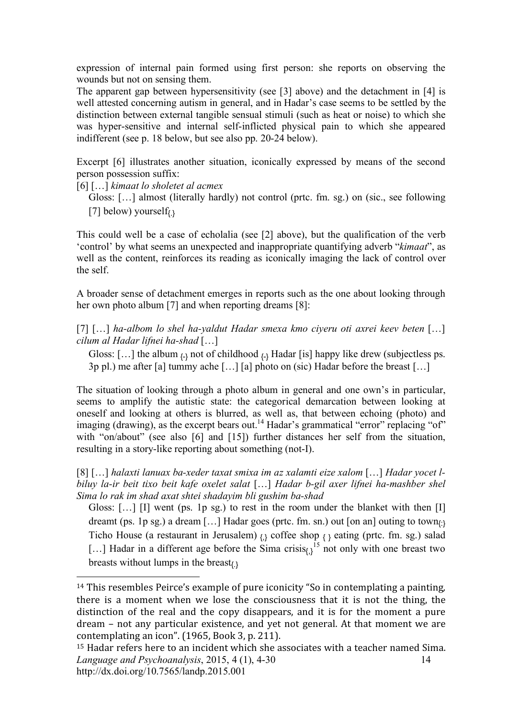expression of internal pain formed using first person: she reports on observing the wounds but not on sensing them.

The apparent gap between hypersensitivity (see [3] above) and the detachment in [4] is well attested concerning autism in general, and in Hadar's case seems to be settled by the distinction between external tangible sensual stimuli (such as heat or noise) to which she was hyper-sensitive and internal self-inflicted physical pain to which she appeared indifferent (see p. 18 below, but see also pp. 20-24 below).

Excerpt [6] illustrates another situation, iconically expressed by means of the second person possession suffix:

[6] […] *kimaat lo sholetet al acmex*

 $\overline{a}$ 

Gloss: […] almost (literally hardly) not control (prtc. fm. sg.) on (sic., see following [7] below) yourself<sub>(3</sub>

This could well be a case of echolalia (see [2] above), but the qualification of the verb 'control' by what seems an unexpected and inappropriate quantifying adverb "*kimaat*", as well as the content, reinforces its reading as iconically imaging the lack of control over the self.

A broader sense of detachment emerges in reports such as the one about looking through her own photo album [7] and when reporting dreams [8]:

[7] [...] *ha-albom lo shel ha-yaldut Hadar smexa kmo ciyeru oti axrei keev beten* [...] *cilum al Hadar lifnei ha-shad* […]

Gloss: [...] the album  $_{\{-\}}$  not of childhood  $_{\{-\}}$  Hadar [is] happy like drew (subjectless ps. 3p pl.) me after [a] tummy ache […] [a] photo on (sic) Hadar before the breast […]

The situation of looking through a photo album in general and one own's in particular, seems to amplify the autistic state: the categorical demarcation between looking at oneself and looking at others is blurred, as well as, that between echoing (photo) and imaging (drawing), as the excerpt bears out.<sup>14</sup> Hadar's grammatical "error" replacing "of" with "on/about" (see also [6] and [15]) further distances her self from the situation, resulting in a story-like reporting about something (not-I).

[8] […] *halaxti lanuax ba-xeder taxat smixa im az xalamti eize xalom* […] *Hadar yocet lbiluy la-ir beit tixo beit kafe oxelet salat* […] *Hadar b-gil axer lifnei ha-mashber shel Sima lo rak im shad axat shtei shadayim bli gushim ba-shad* 

Gloss: […] [I] went (ps. 1p sg.) to rest in the room under the blanket with then [I] dreamt (ps. 1p sg.) a dream [...] Hadar goes (prtc. fm. sn.) out [on an] outing to town $\alpha_3$ Ticho House (a restaurant in Jerusalem)  $_{\{\}\}$  coffee shop  $_{\{\}\}$  eating (prtc. fm. sg.) salad [...] Hadar in a different age before the Sima crisis<sub> $\left\{i\right\}$ </sub><sup>15</sup> not only with one breast two breasts without lumps in the breast $(x)$ 

<sup>&</sup>lt;sup>14</sup> This resembles Peirce's example of pure iconicity "So in contemplating a painting, there is a moment when we lose the consciousness that it is not the thing, the distinction of the real and the copy disappears, and it is for the moment a pure dream
–
 not
any
 particular
existence,
and
 yet
 not
general.
At
 that
moment
we
are contemplating
an icon".
(1965,
Book
3,
p.
211).

*Language and Psychoanalysis*, 2015, 4 (1), 4-30 http://dx.doi.org/10.7565/landp.2015.001 14 <sup>15</sup> Hadar refers here to an incident which she associates with a teacher named Sima.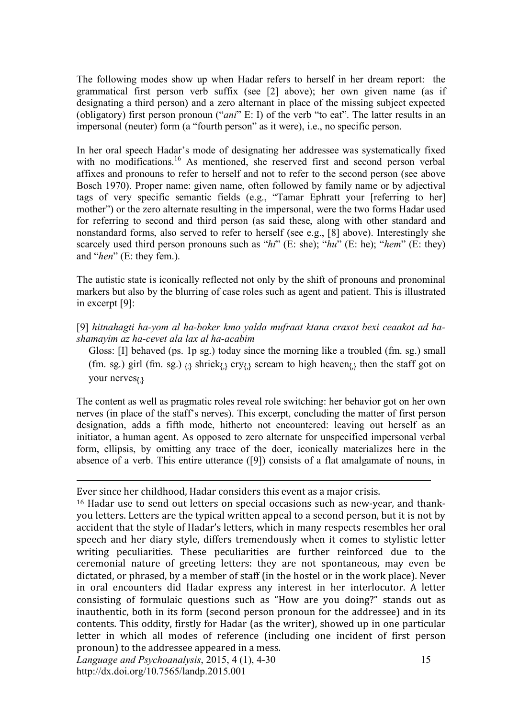The following modes show up when Hadar refers to herself in her dream report: the grammatical first person verb suffix (see [2] above); her own given name (as if designating a third person) and a zero alternant in place of the missing subject expected (obligatory) first person pronoun ("*ani*" E: I) of the verb "to eat". The latter results in an impersonal (neuter) form (a "fourth person" as it were), i.e., no specific person.

In her oral speech Hadar's mode of designating her addressee was systematically fixed with no modifications.<sup>16</sup> As mentioned, she reserved first and second person verbal affixes and pronouns to refer to herself and not to refer to the second person (see above Bosch 1970). Proper name: given name, often followed by family name or by adjectival tags of very specific semantic fields (e.g., "Tamar Ephratt your [referring to her] mother") or the zero alternate resulting in the impersonal, were the two forms Hadar used for referring to second and third person (as said these, along with other standard and nonstandard forms, also served to refer to herself (see e.g., [8] above). Interestingly she scarcely used third person pronouns such as "*hi*" (E: she); "*hu*" (E: he); "*hem*" (E: they) and "*hen*" (E: they fem.).

The autistic state is iconically reflected not only by the shift of pronouns and pronominal markers but also by the blurring of case roles such as agent and patient. This is illustrated in excerpt [9]:

[9] *hitnahagti ha-yom al ha-boker kmo yalda mufraat ktana craxot bexi ceaakot ad hashamayim az ha-cevet ala lax al ha-acabim* 

Gloss: [I] behaved (ps. 1p sg.) today since the morning like a troubled (fm. sg.) small (fm. sg.) girl (fm. sg.)  $_{\{\}\}$  shriek $_{\{\}\}$  cry $_{\{\}\}$  scream to high heaven $_{\{\}\}$  then the staff got on your nerves<sub>{}</sub>

The content as well as pragmatic roles reveal role switching: her behavior got on her own nerves (in place of the staff's nerves). This excerpt, concluding the matter of first person designation, adds a fifth mode, hitherto not encountered: leaving out herself as an initiator, a human agent. As opposed to zero alternate for unspecified impersonal verbal form, ellipsis, by omitting any trace of the doer, iconically materializes here in the absence of a verb. This entire utterance ([9]) consists of a flat amalgamate of nouns, in

Ever
since
her
childhood,
Hadar
considers
this
event
as
a
major
crisis.

<sup>16</sup> Hadar use to send out letters on special occasions such as new-year, and thankyou letters. Letters are the typical written appeal to a second person, but it is not by accident
that
the
style
of
Hadar's
letters,
which
in
many
respects
resembles
her
oral speech and her diary style, differs tremendously when it comes to stylistic letter writing peculiarities. These peculiarities are further reinforced due to the ceremonial
 nature
 of
 greeting
 letters:
 they
 are
 not
 spontaneous,
 may
 even
 be dictated, or phrased, by a member of staff (in the hostel or in the work place). Never in
 oral
 encounters
 did
 Hadar
 express
 any
 interest
 in
 her
 interlocutor.
 A
 letter consisting of formulaic questions such as "How are you doing?" stands out as inauthentic, both in its form (second person pronoun for the addressee) and in its contents.
This
oddity,
 firstly
 for
Hadar
(as
the
writer),
showed
up
in
one
particular letter in which all modes of reference (including one incident of first person pronoun)
to
the
addressee
appeared
in
a
mess.

*Language and Psychoanalysis*, 2015, 4 (1), 4-30 http://dx.doi.org/10.7565/landp.2015.001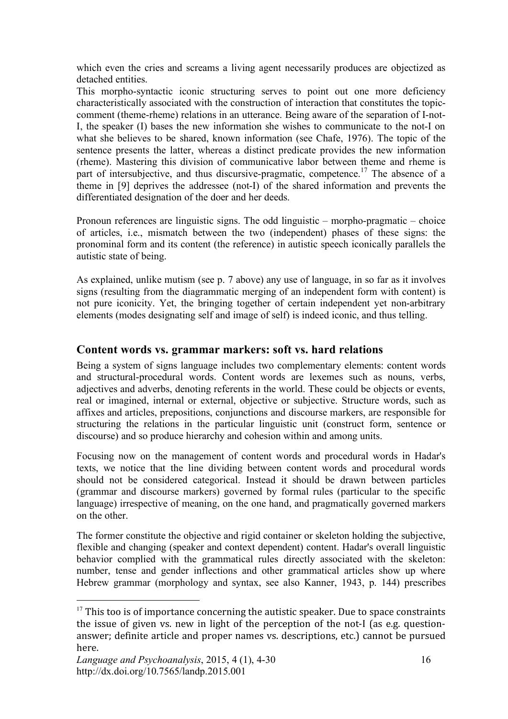which even the cries and screams a living agent necessarily produces are objectized as detached entities.

This morpho-syntactic iconic structuring serves to point out one more deficiency characteristically associated with the construction of interaction that constitutes the topiccomment (theme-rheme) relations in an utterance. Being aware of the separation of I-not-I, the speaker (I) bases the new information she wishes to communicate to the not-I on what she believes to be shared, known information (see Chafe, 1976). The topic of the sentence presents the latter, whereas a distinct predicate provides the new information (rheme). Mastering this division of communicative labor between theme and rheme is part of intersubjective, and thus discursive-pragmatic, competence.<sup>17</sup> The absence of a theme in [9] deprives the addressee (not-I) of the shared information and prevents the differentiated designation of the doer and her deeds.

Pronoun references are linguistic signs. The odd linguistic – morpho-pragmatic – choice of articles, i.e., mismatch between the two (independent) phases of these signs: the pronominal form and its content (the reference) in autistic speech iconically parallels the autistic state of being.

As explained, unlike mutism (see p. 7 above) any use of language, in so far as it involves signs (resulting from the diagrammatic merging of an independent form with content) is not pure iconicity. Yet, the bringing together of certain independent yet non-arbitrary elements (modes designating self and image of self) is indeed iconic, and thus telling.

#### **Content words vs. grammar markers: soft vs. hard relations**

Being a system of signs language includes two complementary elements: content words and structural-procedural words. Content words are lexemes such as nouns, verbs, adjectives and adverbs, denoting referents in the world. These could be objects or events, real or imagined, internal or external, objective or subjective. Structure words, such as affixes and articles, prepositions, conjunctions and discourse markers, are responsible for structuring the relations in the particular linguistic unit (construct form, sentence or discourse) and so produce hierarchy and cohesion within and among units.

Focusing now on the management of content words and procedural words in Hadar's texts, we notice that the line dividing between content words and procedural words should not be considered categorical. Instead it should be drawn between particles (grammar and discourse markers) governed by formal rules (particular to the specific language) irrespective of meaning, on the one hand, and pragmatically governed markers on the other.

The former constitute the objective and rigid container or skeleton holding the subjective, flexible and changing (speaker and context dependent) content. Hadar's overall linguistic behavior complied with the grammatical rules directly associated with the skeleton: number, tense and gender inflections and other grammatical articles show up where Hebrew grammar (morphology and syntax, see also Kanner, 1943, p. 144) prescribes

<sup>&</sup>lt;sup>17</sup> This too is of importance concerning the autistic speaker. Due to space constraints the issue of given vs. new in light of the perception of the not-I (as e.g. questionanswer;
definite
article
and
proper
names
vs.
descriptions,
etc.)
cannot
be
pursued here.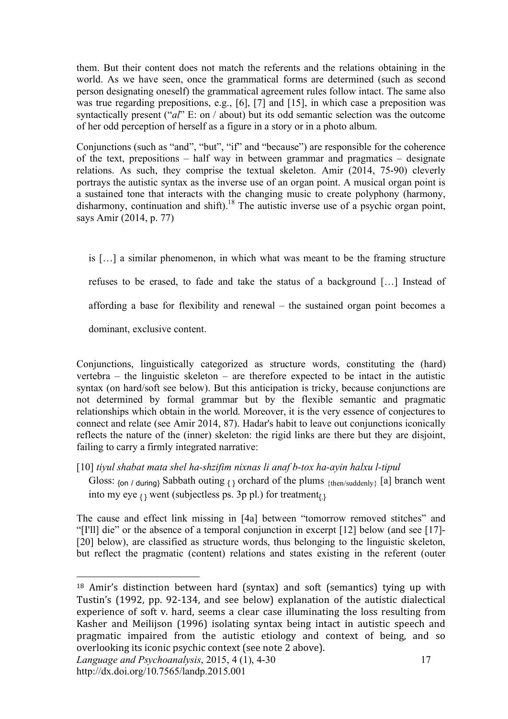them. But their content does not match the referents and the relations obtaining in the world. As we have seen, once the grammatical forms are determined (such as second person designating oneself) the grammatical agreement rules follow intact. The same also was true regarding prepositions, e.g., [6], [7] and [15], in which case a preposition was syntactically present ("*al*" E: on / about) but its odd semantic selection was the outcome of her odd perception of herself as a figure in a story or in a photo album.

Conjunctions (such as "and", "but", "if" and "because") are responsible for the coherence of the text, prepositions – half way in between grammar and pragmatics – designate relations. As such, they comprise the textual skeleton. Amir (2014, 75-90) cleverly portrays the autistic syntax as the inverse use of an organ point. A musical organ point is a sustained tone that interacts with the changing music to create polyphony (harmony, disharmony, continuation and shift).<sup>18</sup> The autistic inverse use of a psychic organ point, says Amir (2014, p. 77)

is […] a similar phenomenon, in which what was meant to be the framing structure refuses to be erased, to fade and take the status of a background […] Instead of affording a base for flexibility and renewal – the sustained organ point becomes a dominant, exclusive content.

Conjunctions, linguistically categorized as structure words, constituting the (hard) vertebra – the linguistic skeleton – are therefore expected to be intact in the autistic syntax (on hard/soft see below). But this anticipation is tricky, because conjunctions are not determined by formal grammar but by the flexible semantic and pragmatic relationships which obtain in the world. Moreover, it is the very essence of conjectures to connect and relate (see Amir 2014, 87). Hadar's habit to leave out conjunctions iconically reflects the nature of the (inner) skeleton: the rigid links are there but they are disjoint, failing to carry a firmly integrated narrative:

[10] *tiyul shabat mata shel ha-shzifim nixnas li anaf b-tox ha-ayin halxu l-tipul*

Gloss:  $\{\text{on } l \text{ during}\}$  Sabbath outing  $\{\}$  orchard of the plums  $\{\text{then/sudenly}\}$  [a] branch went into my eye  $\{ \}$  went (subjectless ps. 3p pl.) for treatment $\{ \}$ 

The cause and effect link missing in [4a] between "tomorrow removed stitches" and "[I'll] die" or the absence of a temporal conjunction in excerpt [12] below (and see [17]- [20] below), are classified as structure words, thus belonging to the linguistic skeleton, but reflect the pragmatic (content) relations and states existing in the referent (outer

<sup>&</sup>lt;sup>18</sup> Amir's distinction between hard (syntax) and soft (semantics) tying up with Tustin's (1992, pp. 92-134, and see below) explanation of the autistic dialectical experience of soft v. hard, seems a clear case illuminating the loss resulting from Kasher and Meilijson (1996) isolating syntax being intact in autistic speech and pragmatic
 impaired
 from
 the
 autistic
 etiology
 and
 context
 of
 being,
 and
 so overlooking
its
iconic
psychic
context
(see
note
2
above).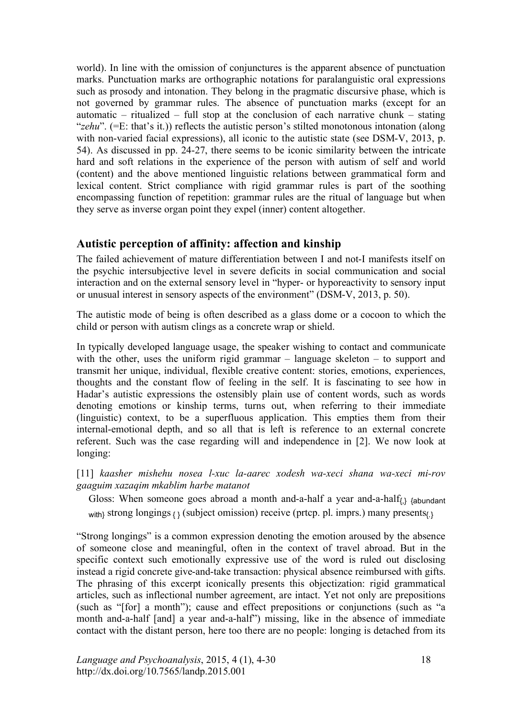world). In line with the omission of conjunctures is the apparent absence of punctuation marks. Punctuation marks are orthographic notations for paralanguistic oral expressions such as prosody and intonation. They belong in the pragmatic discursive phase, which is not governed by grammar rules. The absence of punctuation marks (except for an automatic – ritualized – full stop at the conclusion of each narrative chunk – stating "*zehu*". (=E: that's it.)) reflects the autistic person's stilted monotonous intonation (along with non-varied facial expressions), all iconic to the autistic state (see DSM-V, 2013, p. 54). As discussed in pp. 24-27, there seems to be iconic similarity between the intricate hard and soft relations in the experience of the person with autism of self and world (content) and the above mentioned linguistic relations between grammatical form and lexical content. Strict compliance with rigid grammar rules is part of the soothing encompassing function of repetition: grammar rules are the ritual of language but when they serve as inverse organ point they expel (inner) content altogether.

### **Autistic perception of affinity: affection and kinship**

The failed achievement of mature differentiation between I and not-I manifests itself on the psychic intersubjective level in severe deficits in social communication and social interaction and on the external sensory level in "hyper- or hyporeactivity to sensory input or unusual interest in sensory aspects of the environment" (DSM-V, 2013, p. 50).

The autistic mode of being is often described as a glass dome or a cocoon to which the child or person with autism clings as a concrete wrap or shield.

In typically developed language usage, the speaker wishing to contact and communicate with the other, uses the uniform rigid grammar – language skeleton – to support and transmit her unique, individual, flexible creative content: stories, emotions, experiences, thoughts and the constant flow of feeling in the self. It is fascinating to see how in Hadar's autistic expressions the ostensibly plain use of content words, such as words denoting emotions or kinship terms, turns out, when referring to their immediate (linguistic) context, to be a superfluous application. This empties them from their internal-emotional depth, and so all that is left is reference to an external concrete referent. Such was the case regarding will and independence in [2]. We now look at longing:

[11] *kaasher mishehu nosea l-xuc la-aarec xodesh wa-xeci shana wa-xeci mi-rov gaaguim xazaqim mkablim harbe matanot*

Gloss: When someone goes abroad a month and-a-half a year and-a-half $_{\{\}$  {abundant} with} strong longings  $_{\{} \}$  (subject omission) receive (prtcp. pl. imprs.) many presents $_{\{} \}$ 

"Strong longings" is a common expression denoting the emotion aroused by the absence of someone close and meaningful, often in the context of travel abroad. But in the specific context such emotionally expressive use of the word is ruled out disclosing instead a rigid concrete give-and-take transaction: physical absence reimbursed with gifts. The phrasing of this excerpt iconically presents this objectization: rigid grammatical articles, such as inflectional number agreement, are intact. Yet not only are prepositions (such as "[for] a month"); cause and effect prepositions or conjunctions (such as "a month and-a-half [and] a year and-a-half") missing, like in the absence of immediate contact with the distant person, here too there are no people: longing is detached from its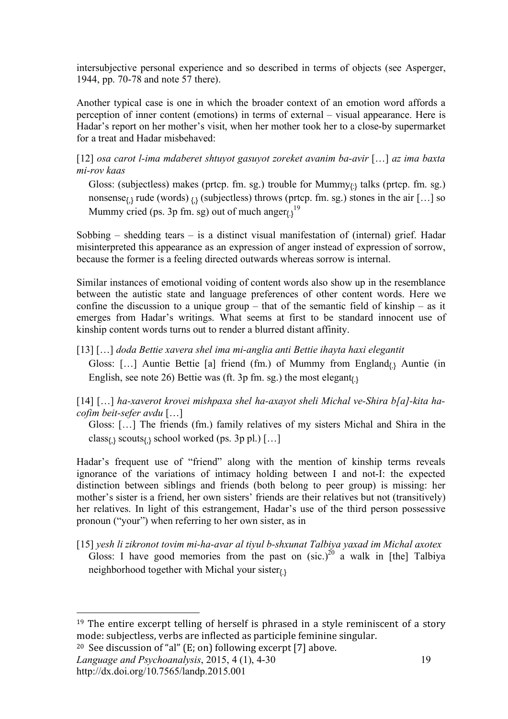intersubjective personal experience and so described in terms of objects (see Asperger, 1944, pp. 70-78 and note 57 there).

Another typical case is one in which the broader context of an emotion word affords a perception of inner content (emotions) in terms of external – visual appearance. Here is Hadar's report on her mother's visit, when her mother took her to a close-by supermarket for a treat and Hadar misbehaved:

[12] *osa carot l-ima mdaberet shtuyot gasuyot zoreket avanim ba-avir* […] *az ima baxta mi-rov kaas*

Gloss: (subjectless) makes (prtcp. fm. sg.) trouble for Mummy $_{\{:\}}$  talks (prtcp. fm. sg.) nonsense<sub> $\{\}$ </sub> rude (words)  $\{\}$  (subjectless) throws (prtcp. fm. sg.) stones in the air [...] so Mummy cried (ps. 3p fm. sg) out of much anger $_{\left\{\right\}}^{19}$ 

Sobbing – shedding tears – is a distinct visual manifestation of (internal) grief. Hadar misinterpreted this appearance as an expression of anger instead of expression of sorrow, because the former is a feeling directed outwards whereas sorrow is internal.

Similar instances of emotional voiding of content words also show up in the resemblance between the autistic state and language preferences of other content words. Here we confine the discussion to a unique group – that of the semantic field of kinship – as it emerges from Hadar's writings. What seems at first to be standard innocent use of kinship content words turns out to render a blurred distant affinity.

[13] […] *doda Bettie xavera shel ima mi-anglia anti Bettie ihayta haxi elegantit* Gloss: [...] Auntie Bettie [a] friend (fm.) of Mummy from England<sub>(1</sub>) Auntie (in English, see note 26) Bettie was (ft. 3p fm. sg.) the most elegant $_{(1)}$ 

[14] […] *ha-xaverot krovei mishpaxa shel ha-axayot sheli Michal ve-Shira b[a]-kita hacofim beit-sefer avdu* […]

Gloss: […] The friends (fm.) family relatives of my sisters Michal and Shira in the class<sub> ${k}$ </sub> scouts<sub> ${k}$ </sub> school worked (ps. 3p pl.) [...]

Hadar's frequent use of "friend" along with the mention of kinship terms reveals ignorance of the variations of intimacy holding between I and not-I: the expected distinction between siblings and friends (both belong to peer group) is missing: her mother's sister is a friend, her own sisters' friends are their relatives but not (transitively) her relatives. In light of this estrangement, Hadar's use of the third person possessive pronoun ("your") when referring to her own sister, as in

[15] *yesh li zikronot tovim mi-ha-avar al tiyul b-shxunat Talbiya yaxad im Michal axotex*  Gloss: I have good memories from the past on  $(\text{sic.})^{20}$  a walk in [the] Talbiya neighborhood together with Michal your sister $_{(3)}$ 

<sup>20</sup> See discussion of "al" (E; on) following excerpt [7] above.

*Language and Psychoanalysis*, 2015, 4 (1), 4-30 http://dx.doi.org/10.7565/landp.2015.001

<sup>&</sup>lt;sup>19</sup> The entire excerpt telling of herself is phrased in a style reminiscent of a story mode:
subjectless,
verbs
are
inflected
as
participle
feminine
singular.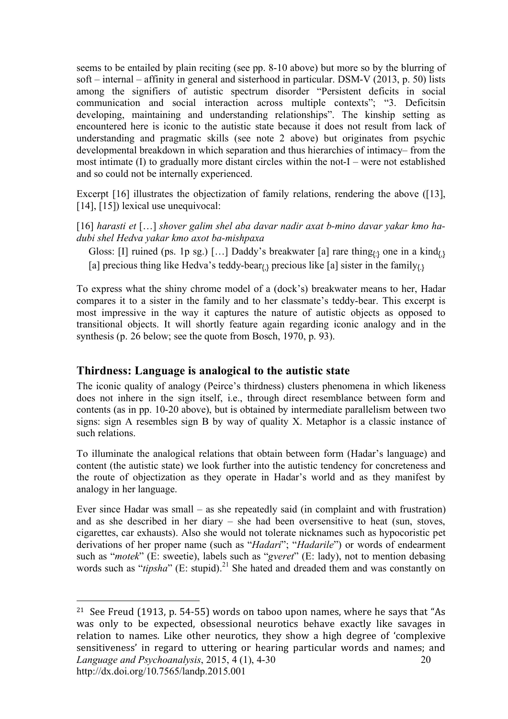seems to be entailed by plain reciting (see pp. 8-10 above) but more so by the blurring of soft – internal – affinity in general and sisterhood in particular. DSM-V (2013, p. 50) lists among the signifiers of autistic spectrum disorder "Persistent deficits in social communication and social interaction across multiple contexts"; "3. Deficitsin developing, maintaining and understanding relationships". The kinship setting as encountered here is iconic to the autistic state because it does not result from lack of understanding and pragmatic skills (see note 2 above) but originates from psychic developmental breakdown in which separation and thus hierarchies of intimacy– from the most intimate (I) to gradually more distant circles within the not-I – were not established and so could not be internally experienced.

Excerpt [16] illustrates the objectization of family relations, rendering the above ([13], [14], [15]) lexical use unequivocal:

[16] *harasti et* […] *shover galim shel aba davar nadir axat b-mino davar yakar kmo hadubi shel Hedva yakar kmo axot ba-mishpaxa*

Gloss: [I] ruined (ps. 1p sg.) [...] Daddy's breakwater [a] rare thing<sub>(:)</sub> one in a kind<sub>(.)</sub> [a] precious thing like Hedva's teddy-bear<sub>{1}</sub> precious like [a] sister in the family<sub>{1}</sub>

To express what the shiny chrome model of a (dock's) breakwater means to her, Hadar compares it to a sister in the family and to her classmate's teddy-bear. This excerpt is most impressive in the way it captures the nature of autistic objects as opposed to transitional objects. It will shortly feature again regarding iconic analogy and in the synthesis (p. 26 below; see the quote from Bosch, 1970, p. 93).

#### **Thirdness: Language is analogical to the autistic state**

 $\overline{a}$ 

The iconic quality of analogy (Peirce's thirdness) clusters phenomena in which likeness does not inhere in the sign itself, i.e., through direct resemblance between form and contents (as in pp. 10-20 above), but is obtained by intermediate parallelism between two signs: sign A resembles sign B by way of quality X. Metaphor is a classic instance of such relations.

To illuminate the analogical relations that obtain between form (Hadar's language) and content (the autistic state) we look further into the autistic tendency for concreteness and the route of objectization as they operate in Hadar's world and as they manifest by analogy in her language.

Ever since Hadar was small – as she repeatedly said (in complaint and with frustration) and as she described in her diary – she had been oversensitive to heat (sun, stoves, cigarettes, car exhausts). Also she would not tolerate nicknames such as hypocoristic pet derivations of her proper name (such as "*Hadari*"; "*Hadarile*") or words of endearment such as "*motek*" (E: sweetie), labels such as "*gveret*" (E: lady), not to mention debasing words such as "*tipsha*" (E: stupid).<sup>21</sup> She hated and dreaded them and was constantly on

*Language and Psychoanalysis*, 2015, 4 (1), 4-30 http://dx.doi.org/10.7565/landp.2015.001 20 <sup>21</sup> See
Freud
(1913,
p.
54‐55)
words
on
taboo
upon
names,
where
he
says
that
"As was only to be expected, obsessional neurotics behave exactly like savages in relation to names. Like other neurotics, they show a high degree of 'complexive sensitiveness' in regard to uttering or hearing particular words and names; and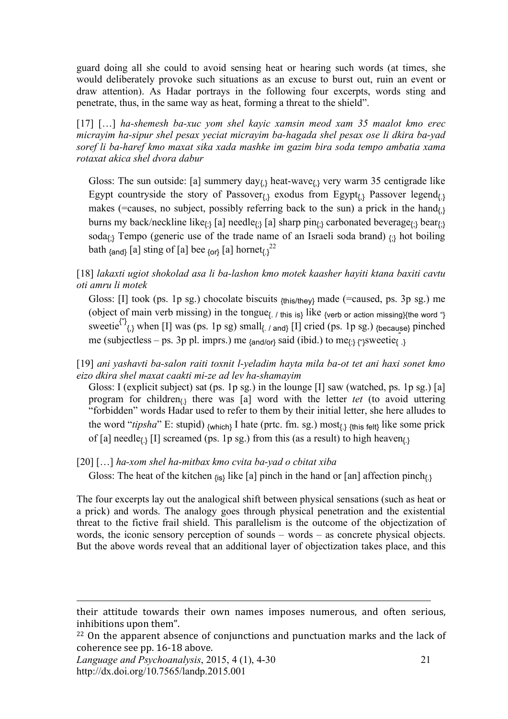guard doing all she could to avoid sensing heat or hearing such words (at times, she would deliberately provoke such situations as an excuse to burst out, ruin an event or draw attention). As Hadar portrays in the following four excerpts, words sting and penetrate, thus, in the same way as heat, forming a threat to the shield".

[17] […] *ha-shemesh ba-xuc yom shel kayic xamsin meod xam 35 maalot kmo erec micrayim ha-sipur shel pesax yeciat micrayim ba-hagada shel pesax ose li dkira ba-yad soref li ba-haref kmo maxat sika xada mashke im gazim bira soda tempo ambatia xama rotaxat akica shel dvora dabur* 

Gloss: The sun outside: [a] summery day $_{\{3\}}$  heat-wave $_{\{3\}}$  very warm 35 centigrade like Egypt countryside the story of Passover $_{\{\} }$  exodus from Egypt $_{\{\} }$  Passover legend $_{\{\} }$ makes (=causes, no subject, possibly referring back to the sun) a prick in the hand $_{1}$ burns my back/neckline like<sub>{:}</sub> [a] needle<sub>{:}</sub> [a] sharp pin<sub>{:}</sub> carbonated beverage<sub>{:}</sub> bear<sub>{:}</sub> soda<sub> ${j}$ </sub> Tempo (generic use of the trade name of an Israeli soda brand)  ${j}$  hot boiling bath  $_{\text{~{and}}}$  [a] sting of [a] bee  $_{\text{~{or}}}$  [a] hornet<sub>{.}</sub><sup>22</sup>

[18] *lakaxti ugiot shokolad asa li ba-lashon kmo motek kaasher hayiti ktana baxiti cavtu oti amru li motek*

Gloss: [I] took (ps. 1p sg.) chocolate biscuits  $_{\{this/they\}}$  made (=caused, ps. 3p sg.) me (object of main verb missing) in the tongue{. / this is} like {verb or action missing}{the word "} sweetie<sup>{"}</sup><sub>{\dota}</sub> when [I] was (ps. 1p sg) small<sub>{.</sub> / and} [I] cried (ps. 1p sg.) {because} pinched me (subjectless – ps. 3p pl. imprs.) me  $_{\text{{and/or}}}$  said (ibid.) to me $_{\text{c}}$  expressive .}

[19] *ani yashavti ba-salon raiti toxnit l-yeladim hayta mila ba-ot tet ani haxi sonet kmo eizo dkira shel maxat caakti mi-ze ad lev ha-shamayim* 

Gloss: I (explicit subject) sat (ps. 1p sg.) in the lounge [I] saw (watched, ps. 1p sg.) [a] program for children{.} there was [a] word with the letter *tet* (to avoid uttering "forbidden" words Hadar used to refer to them by their initial letter, she here alludes to the word "*tipsha*" E: stupid)  $_{\{which\}}$  I hate (prtc. fm. sg.) most $_{\{1\}}$   $_{\{this\}$  felt $_{\{l\}}$  like some prick of [a] needle<sub> $\Omega$ </sub> [I] screamed (ps. 1p sg.) from this (as a result) to high heaven<sub> $\Omega$ </sub>

[20] […] *ha-xom shel ha-mitbax kmo cvita ba-yad o cbitat xiba* 

Gloss: The heat of the kitchen  $_{\{is\}}$  like [a] pinch in the hand or [an] affection pinch<sub>{.}</sub>

The four excerpts lay out the analogical shift between physical sensations (such as heat or a prick) and words. The analogy goes through physical penetration and the existential threat to the fictive frail shield. This parallelism is the outcome of the objectization of words, the iconic sensory perception of sounds – words – as concrete physical objects. But the above words reveal that an additional layer of objectization takes place, and this

*Language and Psychoanalysis*, 2015, 4 (1), 4-30 http://dx.doi.org/10.7565/landp.2015.001

their attitude towards their own names imposes numerous, and often serious, inhibitions
upon
them".

<sup>&</sup>lt;sup>22</sup> On the apparent absence of conjunctions and punctuation marks and the lack of coherence
see
pp.
16‐18
above.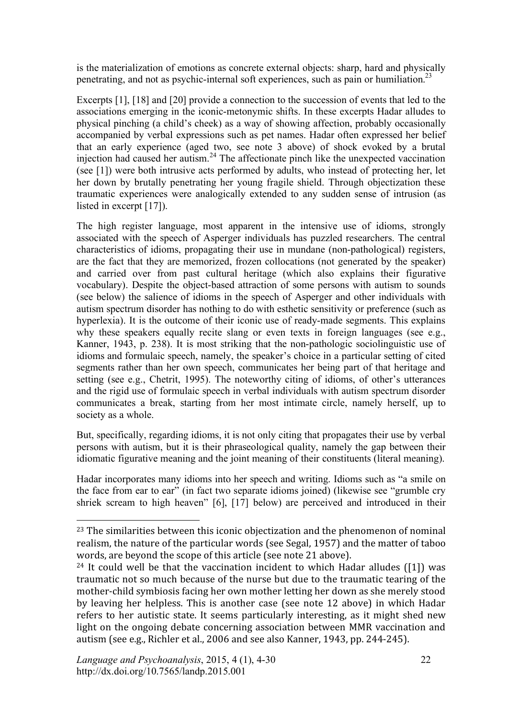is the materialization of emotions as concrete external objects: sharp, hard and physically penetrating, and not as psychic-internal soft experiences, such as pain or humiliation.<sup>23</sup>

Excerpts [1], [18] and [20] provide a connection to the succession of events that led to the associations emerging in the iconic-metonymic shifts. In these excerpts Hadar alludes to physical pinching (a child's cheek) as a way of showing affection, probably occasionally accompanied by verbal expressions such as pet names. Hadar often expressed her belief that an early experience (aged two, see note 3 above) of shock evoked by a brutal injection had caused her autism.<sup>24</sup> The affectionate pinch like the unexpected vaccination (see [1]) were both intrusive acts performed by adults, who instead of protecting her, let her down by brutally penetrating her young fragile shield. Through objectization these traumatic experiences were analogically extended to any sudden sense of intrusion (as listed in excerpt [17]).

The high register language, most apparent in the intensive use of idioms, strongly associated with the speech of Asperger individuals has puzzled researchers. The central characteristics of idioms, propagating their use in mundane (non-pathological) registers, are the fact that they are memorized, frozen collocations (not generated by the speaker) and carried over from past cultural heritage (which also explains their figurative vocabulary). Despite the object-based attraction of some persons with autism to sounds (see below) the salience of idioms in the speech of Asperger and other individuals with autism spectrum disorder has nothing to do with esthetic sensitivity or preference (such as hyperlexia). It is the outcome of their iconic use of ready-made segments. This explains why these speakers equally recite slang or even texts in foreign languages (see e.g., Kanner, 1943, p. 238). It is most striking that the non-pathologic sociolinguistic use of idioms and formulaic speech, namely, the speaker's choice in a particular setting of cited segments rather than her own speech, communicates her being part of that heritage and setting (see e.g., Chetrit, 1995). The noteworthy citing of idioms, of other's utterances and the rigid use of formulaic speech in verbal individuals with autism spectrum disorder communicates a break, starting from her most intimate circle, namely herself, up to society as a whole.

But, specifically, regarding idioms, it is not only citing that propagates their use by verbal persons with autism, but it is their phraseological quality, namely the gap between their idiomatic figurative meaning and the joint meaning of their constituents (literal meaning).

Hadar incorporates many idioms into her speech and writing. Idioms such as "a smile on the face from ear to ear" (in fact two separate idioms joined) (likewise see "grumble cry shriek scream to high heaven" [6], [17] below) are perceived and introduced in their

<sup>23</sup> The
similarities
between
this
iconic
objectization
and
the
phenomenon
of
nominal realism,
the
nature
of
the
particular
words
(see
Segal,
1957)
and
the
matter
of
taboo words, are beyond the scope of this article (see note 21 above).

<sup>&</sup>lt;sup>24</sup> It could well be that the vaccination incident to which Hadar alludes ([1]) was traumatic
not
so
much
because
of
the
nurse
but
due
to
the
traumatic
tearing
of
the mother‐child
symbiosis
facing
her
own
mother
letting
her
down
as
she
merely
stood by
 leaving
 her
 helpless.
 This
 is
 another
 case
 (see
 note
 12
 above)
 in
 which
 Hadar refers to her autistic state. It seems particularly interesting, as it might shed new light on the ongoing debate concerning association between MMR vaccination and autism
(see
e.g.,
Richler
et
al.,
2006
and
see
also
Kanner,
1943,
pp.
244‐245).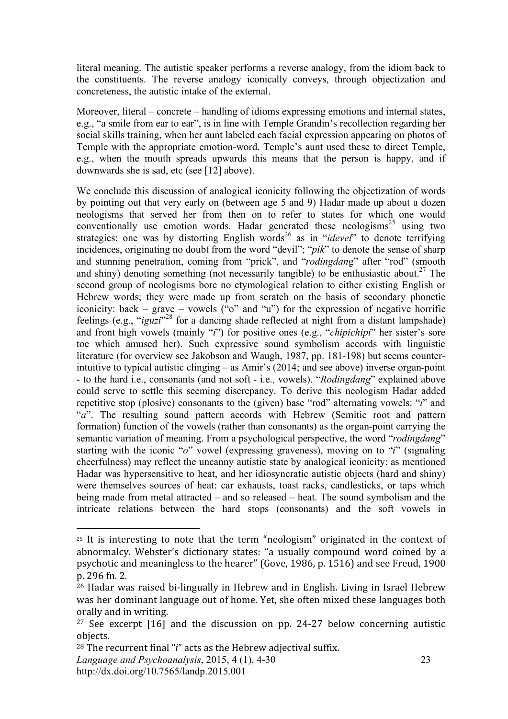literal meaning. The autistic speaker performs a reverse analogy, from the idiom back to the constituents. The reverse analogy iconically conveys, through objectization and concreteness, the autistic intake of the external.

Moreover, literal – concrete – handling of idioms expressing emotions and internal states, e.g., "a smile from ear to ear", is in line with Temple Grandin's recollection regarding her social skills training, when her aunt labeled each facial expression appearing on photos of Temple with the appropriate emotion-word. Temple's aunt used these to direct Temple, e.g., when the mouth spreads upwards this means that the person is happy, and if downwards she is sad, etc (see [12] above).

We conclude this discussion of analogical iconicity following the objectization of words by pointing out that very early on (between age 5 and 9) Hadar made up about a dozen neologisms that served her from then on to refer to states for which one would conventionally use emotion words. Hadar generated these neologisms<sup>25</sup> using two strategies: one was by distorting English words<sup>26</sup> as in "*idevel*" to denote terrifying incidences, originating no doubt from the word "devil"; "*pik*" to denote the sense of sharp and stunning penetration, coming from "prick", and "*rodingdan*g" after "rod" (smooth and shiny) denoting something (not necessarily tangible) to be enthusiastic about.<sup>27</sup> The second group of neologisms bore no etymological relation to either existing English or Hebrew words; they were made up from scratch on the basis of secondary phonetic iconicity: back – grave – vowels  $(\mathcal{C}_0$  and  $\mathcal{C}_1$ ) for the expression of negative horrific feelings (e.g., "*iguzi*"<sup>28</sup> for a dancing shade reflected at night from a distant lampshade) and front high vowels (mainly "*i*") for positive ones (e.g., "*chipichipi*" her sister's sore toe which amused her). Such expressive sound symbolism accords with linguistic literature (for overview see Jakobson and Waugh, 1987, pp. 181-198) but seems counterintuitive to typical autistic clinging – as Amir's (2014; and see above) inverse organ-point - to the hard i.e., consonants (and not soft - i.e., vowels). "*Rodingdang*" explained above could serve to settle this seeming discrepancy. To derive this neologism Hadar added repetitive stop (plosive) consonants to the (given) base "rod" alternating vowels: "*i*" and "*a*". The resulting sound pattern accords with Hebrew (Semitic root and pattern formation) function of the vowels (rather than consonants) as the organ-point carrying the semantic variation of meaning. From a psychological perspective, the word "*rodingdang*" starting with the iconic "*o*" vowel (expressing graveness), moving on to "*i*" (signaling cheerfulness) may reflect the uncanny autistic state by analogical iconicity: as mentioned Hadar was hypersensitive to heat, and her idiosyncratic autistic objects (hard and shiny) were themselves sources of heat: car exhausts, toast racks, candlesticks, or taps which being made from metal attracted – and so released – heat. The sound symbolism and the intricate relations between the hard stops (consonants) and the soft vowels in

<sup>&</sup>lt;sup>25</sup> It is interesting to note that the term "neologism" originated in the context of abnormalcy. Webster's dictionary states: "a usually compound word coined by a psychotic
and
meaningless
to
the
hearer"
(Gove,
1986,
p.
1516)
and
see
Freud,
1900 p.
296
fn.
2.

<sup>&</sup>lt;sup>26</sup> Hadar was raised bi-lingually in Hebrew and in English. Living in Israel Hebrew was
her
dominant
language
out
of
home.
Yet,
she
often
mixed
these
languages
both orally
and
in
writing.

<sup>&</sup>lt;sup>27</sup> See excerpt  $[16]$  and the discussion on pp. 24-27 below concerning autistic objects.

<sup>&</sup>lt;sup>28</sup> The recurrent final "*i*" acts as the Hebrew adjectival suffix.

*Language and Psychoanalysis*, 2015, 4 (1), 4-30 http://dx.doi.org/10.7565/landp.2015.001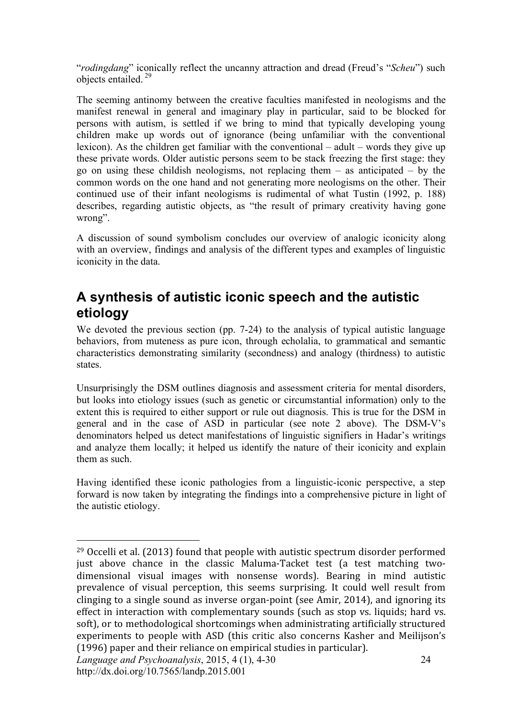"*rodingdang*" iconically reflect the uncanny attraction and dread (Freud's "*Scheu*") such objects entailed. <sup>29</sup>

The seeming antinomy between the creative faculties manifested in neologisms and the manifest renewal in general and imaginary play in particular, said to be blocked for persons with autism, is settled if we bring to mind that typically developing young children make up words out of ignorance (being unfamiliar with the conventional lexicon). As the children get familiar with the conventional – adult – words they give up these private words. Older autistic persons seem to be stack freezing the first stage: they go on using these childish neologisms, not replacing them – as anticipated – by the common words on the one hand and not generating more neologisms on the other. Their continued use of their infant neologisms is rudimental of what Tustin (1992, p. 188) describes, regarding autistic objects, as "the result of primary creativity having gone wrong".

A discussion of sound symbolism concludes our overview of analogic iconicity along with an overview, findings and analysis of the different types and examples of linguistic iconicity in the data.

# **A synthesis of autistic iconic speech and the autistic etiology**

We devoted the previous section (pp. 7-24) to the analysis of typical autistic language behaviors, from muteness as pure icon, through echolalia, to grammatical and semantic characteristics demonstrating similarity (secondness) and analogy (thirdness) to autistic states.

Unsurprisingly the DSM outlines diagnosis and assessment criteria for mental disorders, but looks into etiology issues (such as genetic or circumstantial information) only to the extent this is required to either support or rule out diagnosis. This is true for the DSM in general and in the case of ASD in particular (see note 2 above). The DSM-V's denominators helped us detect manifestations of linguistic signifiers in Hadar's writings and analyze them locally; it helped us identify the nature of their iconicity and explain them as such.

Having identified these iconic pathologies from a linguistic-iconic perspective, a step forward is now taken by integrating the findings into a comprehensive picture in light of the autistic etiology.

<sup>29</sup> Occelli
et
al.
(2013)
found
that
people
with
autistic
spectrum
disorder
performed just above chance in the classic Maluma-Tacket test (a test matching twodimensional visual images with nonsense words). Bearing in mind autistic prevalence of visual perception, this seems surprising. It could well result from clinging to a single sound as inverse organ-point (see Amir, 2014), and ignoring its effect in interaction with complementary sounds (such as stop vs. liquids; hard vs. soft), or to methodological shortcomings when administrating artificially structured experiments to people with ASD (this critic also concerns Kasher and Meilijson's (1996)
paper
and
their
reliance
on
empirical
studies
in
particular).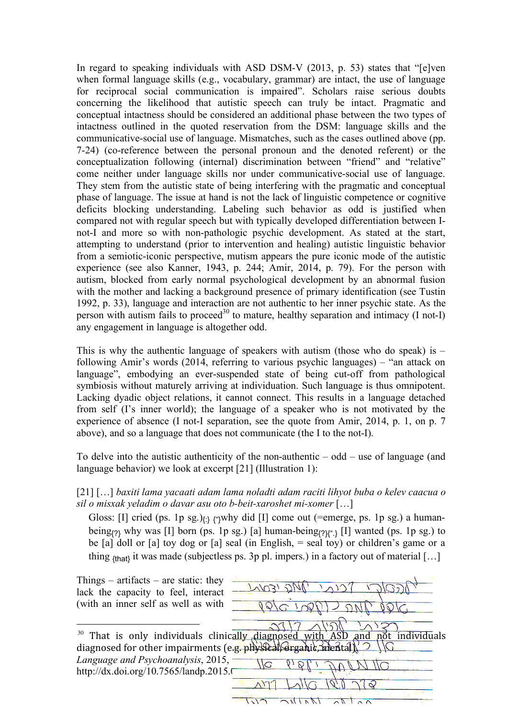In regard to speaking individuals with ASD DSM-V (2013, p. 53) states that "[e]ven when formal language skills (e.g., vocabulary, grammar) are intact, the use of language for reciprocal social communication is impaired". Scholars raise serious doubts concerning the likelihood that autistic speech can truly be intact. Pragmatic and conceptual intactness should be considered an additional phase between the two types of intactness outlined in the quoted reservation from the DSM: language skills and the communicative-social use of language. Mismatches, such as the cases outlined above (pp. 7-24) (co-reference between the personal pronoun and the denoted referent) or the conceptualization following (internal) discrimination between "friend" and "relative" come neither under language skills nor under communicative-social use of language. They stem from the autistic state of being interfering with the pragmatic and conceptual phase of language. The issue at hand is not the lack of linguistic competence or cognitive deficits blocking understanding. Labeling such behavior as odd is justified when compared not with regular speech but with typically developed differentiation between Inot-I and more so with non-pathologic psychic development. As stated at the start, attempting to understand (prior to intervention and healing) autistic linguistic behavior from a semiotic-iconic perspective, mutism appears the pure iconic mode of the autistic experience (see also Kanner, 1943, p. 244; Amir, 2014, p. 79). For the person with autism, blocked from early normal psychological development by an abnormal fusion with the mother and lacking a background presence of primary identification (see Tustin 1992, p. 33), language and interaction are not authentic to her inner psychic state. As the person with autism fails to proceed<sup>30</sup> to mature, healthy separation and intimacy (I not-I) any engagement in language is altogether odd.

This is why the authentic language of speakers with autism (those who do speak) is  $$ following Amir's words (2014, referring to various psychic languages) – "an attack on language", embodying an ever-suspended state of being cut-off from pathological symbiosis without maturely arriving at individuation. Such language is thus omnipotent. Lacking dyadic object relations, it cannot connect. This results in a language detached from self (I's inner world); the language of a speaker who is not motivated by the experience of absence (I not-I separation, see the quote from Amir, 2014, p. 1, on p. 7 above), and so a language that does not communicate (the I to the not-I).

To delve into the autistic authenticity of the non-authentic – odd – use of language (and language behavior) we look at excerpt [21] (Illustration 1):

[21] […] *baxiti lama yacaati adam lama noladti adam raciti lihyot buba o kelev caacua o sil o misxak yeladim o davar asu oto b-beit-xaroshet mi-xomer* […]

Gloss: [I] cried (ps. 1p sg.)<sub> $\{\}$ </sub> ( $\gamma$ why did [I] come out (=emerge, ps. 1p sg.) a humanbeing<sub>{?}</sub> why was [I] born (ps. 1p sg.) [a] human-being<sub>{?}{".}</sub> [I] wanted (ps. 1p sg.) to be  $[a]$  doll or  $[a]$  toy dog or  $[a]$  seal (in English,  $=$  seal toy) or children's game or a thing  $_{\text{that}}$  it was made (subjectless ps. 3p pl. impers.) in a factory out of material [...]

Things – artifacts – are static: they lack the capacity to feel, interact (with an inner self as well as with  $\overline{a}$ <sup>30</sup> That is only individuals clinically diagnosed with ASD and not individuals diagnosed for other impairments (e.g. physical) Grganic, mental Language and Psychoanalysis, 2015, 25 http://dx.doi.org/10.7565/landp.2015.0  $\sqrt{2}$ 

 $\sqrt{2}$ 

 $\sqrt{110}$ 

 $\sqrt{2}$ 

 $\overline{\wedge}$   $\overline{\wedge}$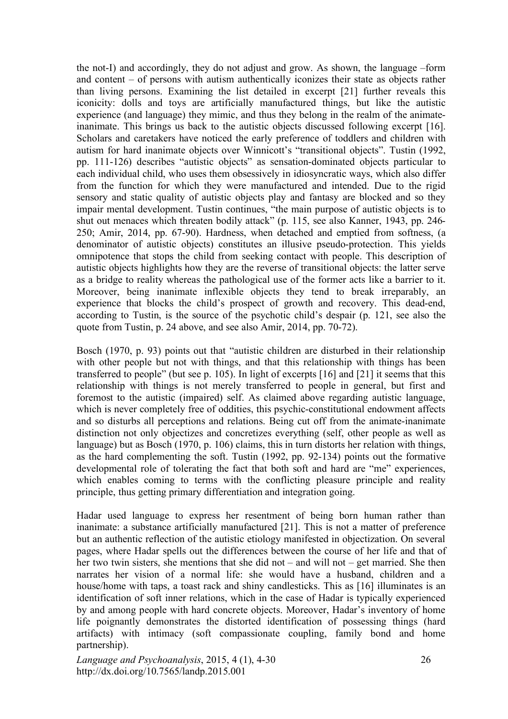the not-I) and accordingly, they do not adjust and grow. As shown, the language –form and content – of persons with autism authentically iconizes their state as objects rather than living persons. Examining the list detailed in excerpt [21] further reveals this iconicity: dolls and toys are artificially manufactured things, but like the autistic experience (and language) they mimic, and thus they belong in the realm of the animateinanimate. This brings us back to the autistic objects discussed following excerpt [16]. Scholars and caretakers have noticed the early preference of toddlers and children with autism for hard inanimate objects over Winnicott's "transitional objects". Tustin (1992, pp. 111-126) describes "autistic objects" as sensation-dominated objects particular to each individual child, who uses them obsessively in idiosyncratic ways, which also differ from the function for which they were manufactured and intended. Due to the rigid sensory and static quality of autistic objects play and fantasy are blocked and so they impair mental development. Tustin continues, "the main purpose of autistic objects is to shut out menaces which threaten bodily attack" (p. 115, see also Kanner, 1943, pp. 246- 250; Amir, 2014, pp. 67-90). Hardness, when detached and emptied from softness, (a denominator of autistic objects) constitutes an illusive pseudo-protection. This yields omnipotence that stops the child from seeking contact with people. This description of autistic objects highlights how they are the reverse of transitional objects: the latter serve as a bridge to reality whereas the pathological use of the former acts like a barrier to it. Moreover, being inanimate inflexible objects they tend to break irreparably, an experience that blocks the child's prospect of growth and recovery. This dead-end, according to Tustin, is the source of the psychotic child's despair (p. 121, see also the quote from Tustin, p. 24 above, and see also Amir, 2014, pp. 70-72).

Bosch (1970, p. 93) points out that "autistic children are disturbed in their relationship with other people but not with things, and that this relationship with things has been transferred to people" (but see p. 105). In light of excerpts [16] and [21] it seems that this relationship with things is not merely transferred to people in general, but first and foremost to the autistic (impaired) self. As claimed above regarding autistic language, which is never completely free of oddities, this psychic-constitutional endowment affects and so disturbs all perceptions and relations. Being cut off from the animate-inanimate distinction not only objectizes and concretizes everything (self, other people as well as language) but as Bosch (1970, p. 106) claims, this in turn distorts her relation with things, as the hard complementing the soft. Tustin (1992, pp. 92-134) points out the formative developmental role of tolerating the fact that both soft and hard are "me" experiences, which enables coming to terms with the conflicting pleasure principle and reality principle, thus getting primary differentiation and integration going.

Hadar used language to express her resentment of being born human rather than inanimate: a substance artificially manufactured [21]. This is not a matter of preference but an authentic reflection of the autistic etiology manifested in objectization. On several pages, where Hadar spells out the differences between the course of her life and that of her two twin sisters, she mentions that she did not – and will not – get married. She then narrates her vision of a normal life: she would have a husband, children and a house/home with taps, a toast rack and shiny candlesticks. This as [16] illuminates is an identification of soft inner relations, which in the case of Hadar is typically experienced by and among people with hard concrete objects. Moreover, Hadar's inventory of home life poignantly demonstrates the distorted identification of possessing things (hard artifacts) with intimacy (soft compassionate coupling, family bond and home partnership).

*Language and Psychoanalysis*, 2015, 4 (1), 4-30 http://dx.doi.org/10.7565/landp.2015.001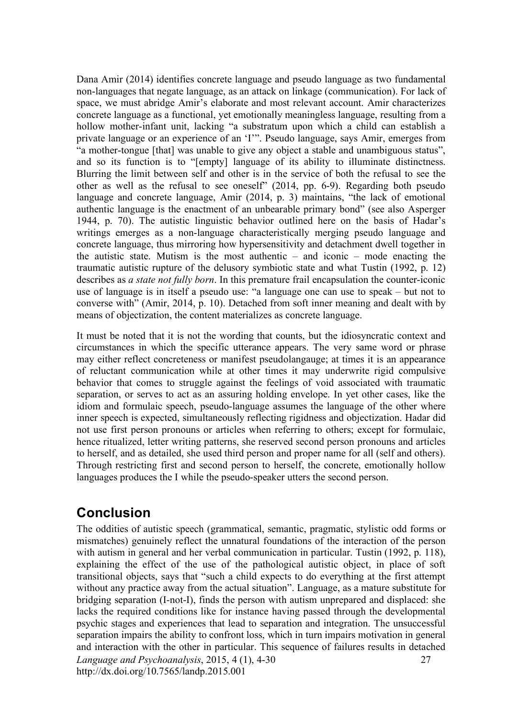Dana Amir (2014) identifies concrete language and pseudo language as two fundamental non-languages that negate language, as an attack on linkage (communication). For lack of space, we must abridge Amir's elaborate and most relevant account. Amir characterizes concrete language as a functional, yet emotionally meaningless language, resulting from a hollow mother-infant unit, lacking "a substratum upon which a child can establish a private language or an experience of an 'I'". Pseudo language, says Amir, emerges from "a mother-tongue [that] was unable to give any object a stable and unambiguous status", and so its function is to "[empty] language of its ability to illuminate distinctness. Blurring the limit between self and other is in the service of both the refusal to see the other as well as the refusal to see oneself" (2014, pp. 6-9). Regarding both pseudo language and concrete language, Amir (2014, p. 3) maintains, "the lack of emotional authentic language is the enactment of an unbearable primary bond" (see also Asperger 1944, p. 70). The autistic linguistic behavior outlined here on the basis of Hadar's writings emerges as a non-language characteristically merging pseudo language and concrete language, thus mirroring how hypersensitivity and detachment dwell together in the autistic state. Mutism is the most authentic – and iconic – mode enacting the traumatic autistic rupture of the delusory symbiotic state and what Tustin (1992, p. 12) describes as *a state not fully born*. In this premature frail encapsulation the counter-iconic use of language is in itself a pseudo use: "a language one can use to speak – but not to converse with" (Amir, 2014, p. 10). Detached from soft inner meaning and dealt with by means of objectization, the content materializes as concrete language.

It must be noted that it is not the wording that counts, but the idiosyncratic context and circumstances in which the specific utterance appears. The very same word or phrase may either reflect concreteness or manifest pseudolangauge; at times it is an appearance of reluctant communication while at other times it may underwrite rigid compulsive behavior that comes to struggle against the feelings of void associated with traumatic separation, or serves to act as an assuring holding envelope. In yet other cases, like the idiom and formulaic speech, pseudo-language assumes the language of the other where inner speech is expected, simultaneously reflecting rigidness and objectization. Hadar did not use first person pronouns or articles when referring to others; except for formulaic, hence ritualized, letter writing patterns, she reserved second person pronouns and articles to herself, and as detailed, she used third person and proper name for all (self and others). Through restricting first and second person to herself, the concrete, emotionally hollow languages produces the I while the pseudo-speaker utters the second person.

## **Conclusion**

*Language and Psychoanalysis*, 2015, 4 (1), 4-30 http://dx.doi.org/10.7565/landp.2015.001 27 The oddities of autistic speech (grammatical, semantic, pragmatic, stylistic odd forms or mismatches) genuinely reflect the unnatural foundations of the interaction of the person with autism in general and her verbal communication in particular. Tustin (1992, p. 118), explaining the effect of the use of the pathological autistic object, in place of soft transitional objects, says that "such a child expects to do everything at the first attempt without any practice away from the actual situation". Language, as a mature substitute for bridging separation (I-not-I), finds the person with autism unprepared and displaced: she lacks the required conditions like for instance having passed through the developmental psychic stages and experiences that lead to separation and integration. The unsuccessful separation impairs the ability to confront loss, which in turn impairs motivation in general and interaction with the other in particular. This sequence of failures results in detached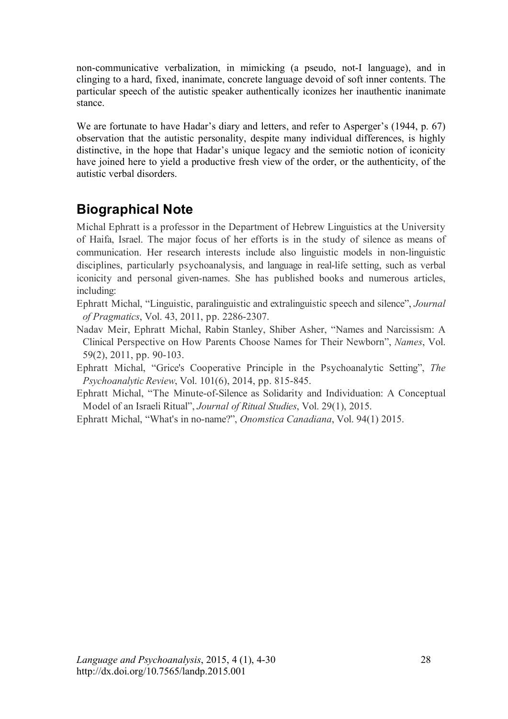non-communicative verbalization, in mimicking (a pseudo, not-I language), and in clinging to a hard, fixed, inanimate, concrete language devoid of soft inner contents. The particular speech of the autistic speaker authentically iconizes her inauthentic inanimate stance.

We are fortunate to have Hadar's diary and letters, and refer to Asperger's (1944, p. 67) observation that the autistic personality, despite many individual differences, is highly distinctive, in the hope that Hadar's unique legacy and the semiotic notion of iconicity have joined here to yield a productive fresh view of the order, or the authenticity, of the autistic verbal disorders.

# **Biographical Note**

Michal Ephratt is a professor in the Department of Hebrew Linguistics at the University of Haifa, Israel. The major focus of her efforts is in the study of silence as means of communication. Her research interests include also linguistic models in non-linguistic disciplines, particularly psychoanalysis, and language in real-life setting, such as verbal iconicity and personal given-names. She has published books and numerous articles, including:

- Ephratt Michal, "Linguistic, paralinguistic and extralinguistic speech and silence", *Journal of Pragmatics*, Vol. 43, 2011, pp. 2286-2307.
- Nadav Meir, Ephratt Michal, Rabin Stanley, Shiber Asher, "Names and Narcissism: A Clinical Perspective on How Parents Choose Names for Their Newborn", *Names*, Vol. 59(2), 2011, pp. 90-103.
- Ephratt Michal, "Grice's Cooperative Principle in the Psychoanalytic Setting", *The Psychoanalytic Review*, Vol. 101(6), 2014, pp. 815-845.
- Ephratt Michal, "The Minute-of-Silence as Solidarity and Individuation: A Conceptual Model of an Israeli Ritual", *Journal of Ritual Studies*, Vol. 29(1), 2015.
- Ephratt Michal, "What's in no-name?", *Onomstica Canadiana*, Vol. 94(1) 2015.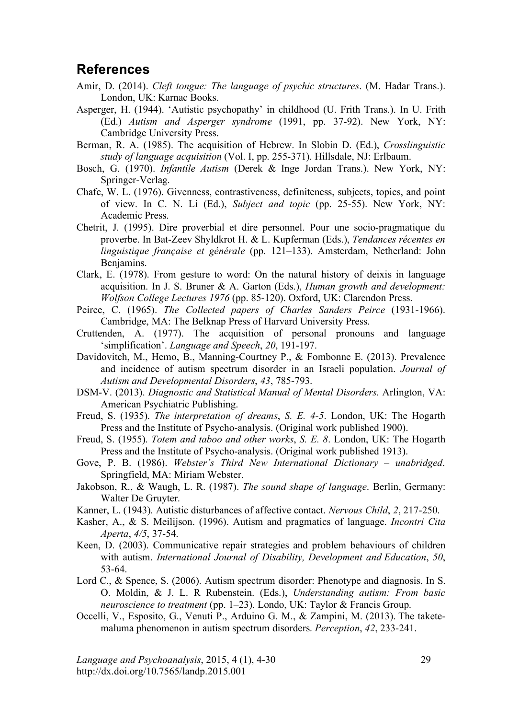## **References**

- Amir, D. (2014). *Cleft tongue: The language of psychic structures*. (M. Hadar Trans.). London, UK: Karnac Books.
- Asperger, H. (1944). 'Autistic psychopathy' in childhood (U. Frith Trans.). In U. Frith (Ed.) *Autism and Asperger syndrome* (1991, pp. 37-92). New York, NY: Cambridge University Press.
- Berman, R. A. (1985). The acquisition of Hebrew. In Slobin D. (Ed.), *Crosslinguistic study of language acquisition* (Vol. I, pp. 255-371). Hillsdale, NJ: Erlbaum.
- Bosch, G. (1970). *Infantile Autism* (Derek & Inge Jordan Trans.). New York, NY: Springer-Verlag.
- Chafe, W. L. (1976). Givenness, contrastiveness, definiteness, subjects, topics, and point of view. In C. N. Li (Ed.), *Subject and topic* (pp. 25-55). New York, NY: Academic Press.
- Chetrit, J. (1995). Dire proverbial et dire personnel. Pour une socio-pragmatique du proverbe. In Bat-Zeev Shyldkrot H. & L. Kupferman (Eds.), *Tendances récentes en linguistique française et générale* (pp. 121–133). Amsterdam, Netherland: John Benjamins.
- Clark, E. (1978). From gesture to word: On the natural history of deixis in language acquisition. In J. S. Bruner & A. Garton (Eds.), *Human growth and development: Wolfson College Lectures 1976* (pp. 85-120). Oxford, UK: Clarendon Press.
- Peirce, C. (1965). *The Collected papers of Charles Sanders Peirce* (1931-1966). Cambridge, MA: The Belknap Press of Harvard University Press.
- Cruttenden, A. (1977). The acquisition of personal pronouns and language 'simplification'. *Language and Speech*, *20*, 191-197.
- Davidovitch, M., Hemo, B., Manning-Courtney P., & Fombonne E. (2013). Prevalence and incidence of autism spectrum disorder in an Israeli population. *Journal of Autism and Developmental Disorders*, *43*, 785-793.
- DSM-V. (2013). *Diagnostic and Statistical Manual of Mental Disorders*. Arlington, VA: American Psychiatric Publishing.
- Freud, S. (1935). *The interpretation of dreams*, *S. E. 4-5*. London, UK: The Hogarth Press and the Institute of Psycho-analysis. (Original work published 1900).
- Freud, S. (1955). *Totem and taboo and other works*, *S. E. 8*. London, UK: The Hogarth Press and the Institute of Psycho-analysis. (Original work published 1913).
- Gove, P. B. (1986). *Webster's Third New International Dictionary unabridged.* Springfield, MA: Miriam Webster.
- Jakobson, R., & Waugh, L. R. (1987). *The sound shape of language*. Berlin, Germany: Walter De Gruyter.
- Kanner, L. (1943). Autistic disturbances of affective contact. *Nervous Child*, *2*, 217-250.
- Kasher, A., & S. Meilijson. (1996). Autism and pragmatics of language. *Incontri Cita Aperta*, *4/5*, 37-54.
- Keen, D. (2003). Communicative repair strategies and problem behaviours of children with autism. *International Journal of Disability, Development and Education*, *50*, 53-64.
- Lord C., & Spence, S. (2006). Autism spectrum disorder: Phenotype and diagnosis. In S. O. Moldin, & J. L. R Rubenstein. (Eds.), *Understanding autism: From basic neuroscience to treatment* (pp. 1–23). Londo, UK: Taylor & Francis Group.
- Occelli, V., Esposito, G., Venuti P., Arduino G. M., & Zampini, M. (2013). The taketemaluma phenomenon in autism spectrum disorders. *Perception*, *42*, 233-241.

*Language and Psychoanalysis*, 2015, 4 (1), 4-30 http://dx.doi.org/10.7565/landp.2015.001